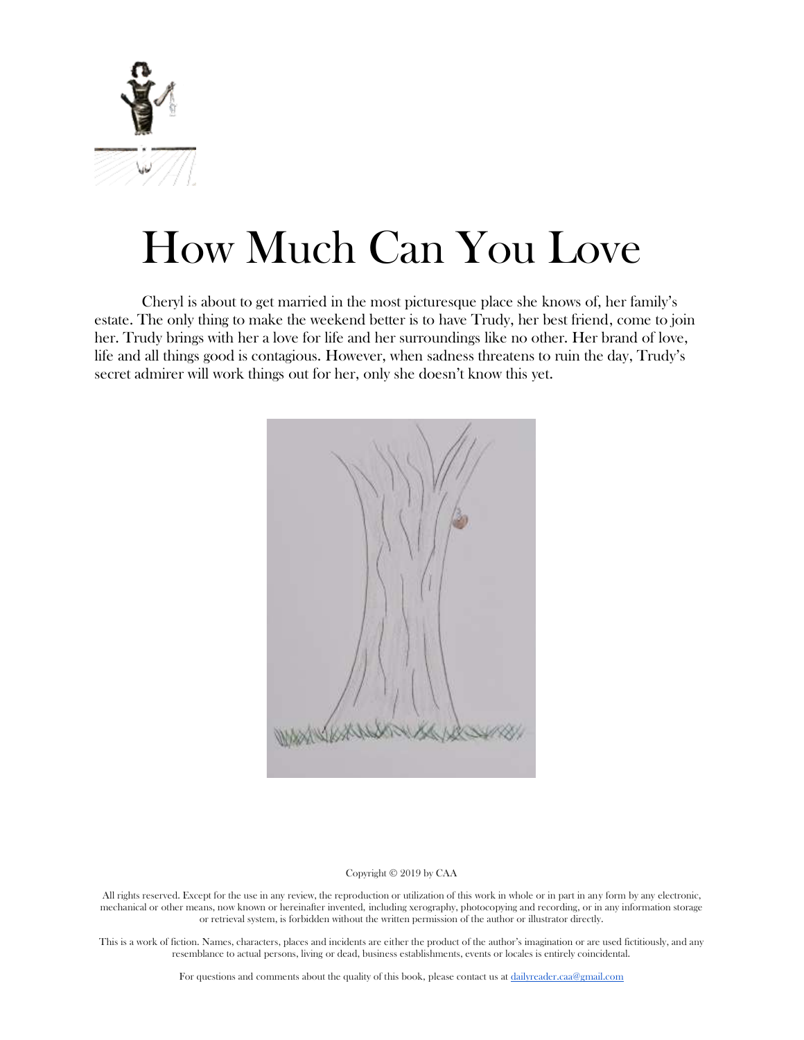

# How Much Can You Love

Cheryl is about to get married in the most picturesque place she knows of, her family's estate. The only thing to make the weekend better is to have Trudy, her best friend, come to join her. Trudy brings with her a love for life and her surroundings like no other. Her brand of love, life and all things good is contagious. However, when sadness threatens to ruin the day, Trudy's secret admirer will work things out for her, only she doesn't know this yet.



#### Copyright © 2019 by CAA

All rights reserved. Except for the use in any review, the reproduction or utilization of this work in whole or in part in any form by any electronic, mechanical or other means, now known or hereinafter invented, including xerography, photocopying and recording, or in any information storage or retrieval system, is forbidden without the written permission of the author or illustrator directly.

This is a work of fiction. Names, characters, places and incidents are either the product of the author's imagination or are used fictitiously, and any resemblance to actual persons, living or dead, business establishments, events or locales is entirely coincidental.

For questions and comments about the quality of this book, please contact us at [dailyreader.caa@gmail.com](mailto:dailyreader.caa@gmail.com)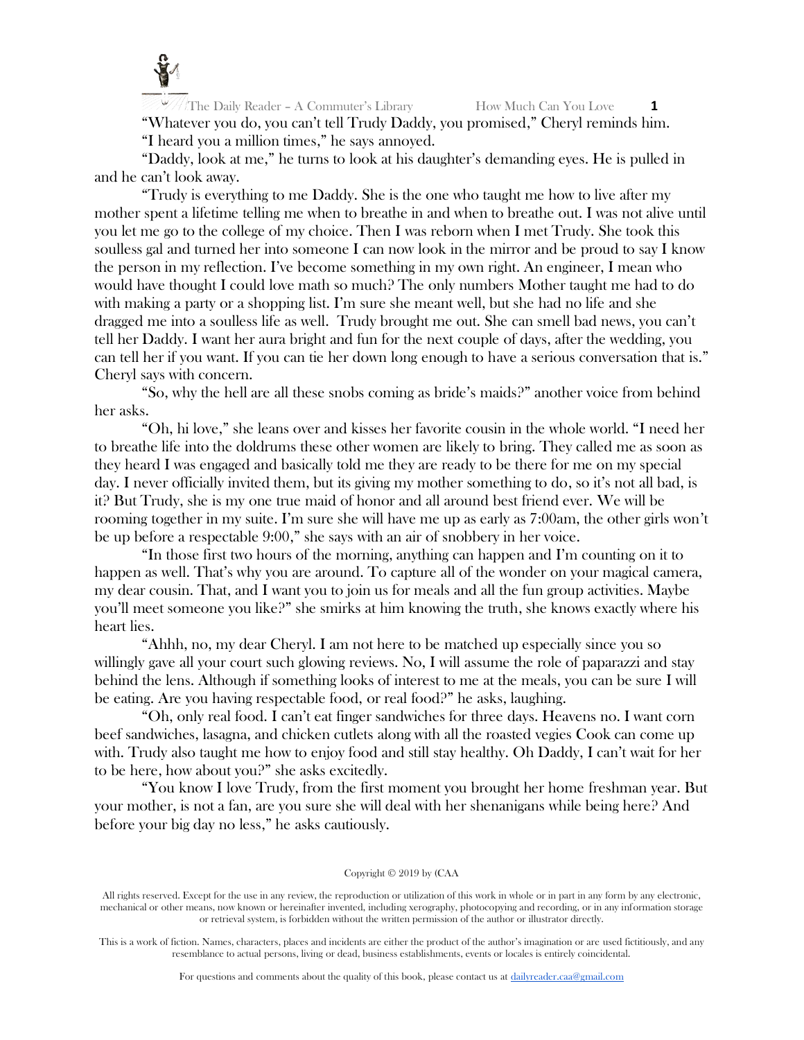

The Daily Reader – A Commuter's Library How Much Can You Love **1** "Whatever you do, you can't tell Trudy Daddy, you promised," Cheryl reminds him. "I heard you a million times," he says annoyed.

"Daddy, look at me," he turns to look at his daughter's demanding eyes. He is pulled in and he can't look away.

"Trudy is everything to me Daddy. She is the one who taught me how to live after my mother spent a lifetime telling me when to breathe in and when to breathe out. I was not alive until you let me go to the college of my choice. Then I was reborn when I met Trudy. She took this soulless gal and turned her into someone I can now look in the mirror and be proud to say I know the person in my reflection. I've become something in my own right. An engineer, I mean who would have thought I could love math so much? The only numbers Mother taught me had to do with making a party or a shopping list. I'm sure she meant well, but she had no life and she dragged me into a soulless life as well. Trudy brought me out. She can smell bad news, you can't tell her Daddy. I want her aura bright and fun for the next couple of days, after the wedding, you can tell her if you want. If you can tie her down long enough to have a serious conversation that is." Cheryl says with concern.

"So, why the hell are all these snobs coming as bride's maids?" another voice from behind her asks.

"Oh, hi love," she leans over and kisses her favorite cousin in the whole world. "I need her to breathe life into the doldrums these other women are likely to bring. They called me as soon as they heard I was engaged and basically told me they are ready to be there for me on my special day. I never officially invited them, but its giving my mother something to do, so it's not all bad, is it? But Trudy, she is my one true maid of honor and all around best friend ever. We will be rooming together in my suite. I'm sure she will have me up as early as 7:00am, the other girls won't be up before a respectable 9:00," she says with an air of snobbery in her voice.

"In those first two hours of the morning, anything can happen and I'm counting on it to happen as well. That's why you are around. To capture all of the wonder on your magical camera, my dear cousin. That, and I want you to join us for meals and all the fun group activities. Maybe you'll meet someone you like?" she smirks at him knowing the truth, she knows exactly where his heart lies.

"Ahhh, no, my dear Cheryl. I am not here to be matched up especially since you so willingly gave all your court such glowing reviews. No, I will assume the role of paparazzi and stay behind the lens. Although if something looks of interest to me at the meals, you can be sure I will be eating. Are you having respectable food, or real food?" he asks, laughing.

"Oh, only real food. I can't eat finger sandwiches for three days. Heavens no. I want corn beef sandwiches, lasagna, and chicken cutlets along with all the roasted vegies Cook can come up with. Trudy also taught me how to enjoy food and still stay healthy. Oh Daddy, I can't wait for her to be here, how about you?" she asks excitedly.

"You know I love Trudy, from the first moment you brought her home freshman year. But your mother, is not a fan, are you sure she will deal with her shenanigans while being here? And before your big day no less," he asks cautiously.

#### Copyright © 2019 by (CAA

All rights reserved. Except for the use in any review, the reproduction or utilization of this work in whole or in part in any form by any electronic, mechanical or other means, now known or hereinafter invented, including xerography, photocopying and recording, or in any information storage or retrieval system, is forbidden without the written permission of the author or illustrator directly.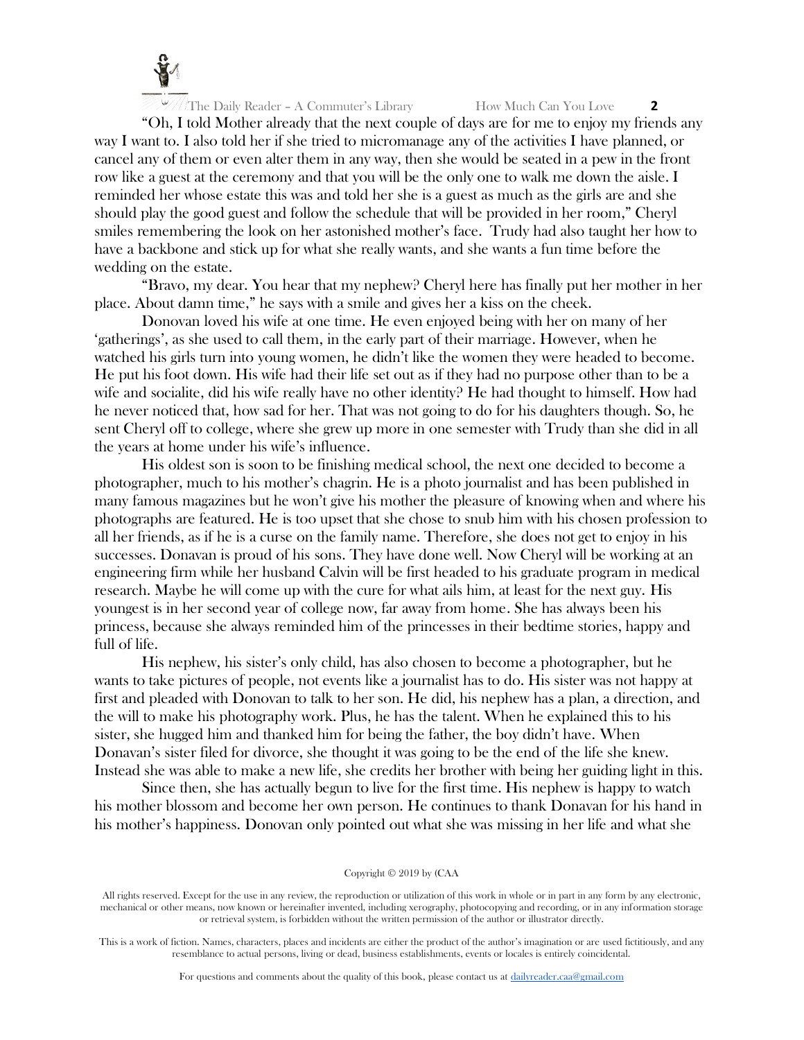

"Oh, I told Mother already that the next couple of days are for me to enjoy my friends any way I want to. I also told her if she tried to micromanage any of the activities I have planned, or cancel any of them or even alter them in any way, then she would be seated in a pew in the front row like a guest at the ceremony and that you will be the only one to walk me down the aisle. I reminded her whose estate this was and told her she is a guest as much as the girls are and she should play the good guest and follow the schedule that will be provided in her room," Cheryl smiles remembering the look on her astonished mother's face. Trudy had also taught her how to have a backbone and stick up for what she really wants, and she wants a fun time before the wedding on the estate.

"Bravo, my dear. You hear that my nephew? Cheryl here has finally put her mother in her place. About damn time," he says with a smile and gives her a kiss on the cheek.

Donovan loved his wife at one time. He even enjoyed being with her on many of her 'gatherings', as she used to call them, in the early part of their marriage. However, when he watched his girls turn into young women, he didn't like the women they were headed to become. He put his foot down. His wife had their life set out as if they had no purpose other than to be a wife and socialite, did his wife really have no other identity? He had thought to himself. How had he never noticed that, how sad for her. That was not going to do for his daughters though. So, he sent Cheryl off to college, where she grew up more in one semester with Trudy than she did in all the years at home under his wife's influence.

His oldest son is soon to be finishing medical school, the next one decided to become a photographer, much to his mother's chagrin. He is a photo journalist and has been published in many famous magazines but he won't give his mother the pleasure of knowing when and where his photographs are featured. He is too upset that she chose to snub him with his chosen profession to all her friends, as if he is a curse on the family name. Therefore, she does not get to enjoy in his successes. Donavan is proud of his sons. They have done well. Now Cheryl will be working at an engineering firm while her husband Calvin will be first headed to his graduate program in medical research. Maybe he will come up with the cure for what ails him, at least for the next guy. His youngest is in her second year of college now, far away from home. She has always been his princess, because she always reminded him of the princesses in their bedtime stories, happy and full of life.

His nephew, his sister's only child, has also chosen to become a photographer, but he wants to take pictures of people, not events like a journalist has to do. His sister was not happy at first and pleaded with Donovan to talk to her son. He did, his nephew has a plan, a direction, and the will to make his photography work. Plus, he has the talent. When he explained this to his sister, she hugged him and thanked him for being the father, the boy didn't have. When Donavan's sister filed for divorce, she thought it was going to be the end of the life she knew. Instead she was able to make a new life, she credits her brother with being her guiding light in this.

Since then, she has actually begun to live for the first time. His nephew is happy to watch his mother blossom and become her own person. He continues to thank Donavan for his hand in his mother's happiness. Donovan only pointed out what she was missing in her life and what she

#### Copyright © 2019 by (CAA

All rights reserved. Except for the use in any review, the reproduction or utilization of this work in whole or in part in any form by any electronic, mechanical or other means, now known or hereinafter invented, including xerography, photocopying and recording, or in any information storage or retrieval system, is forbidden without the written permission of the author or illustrator directly.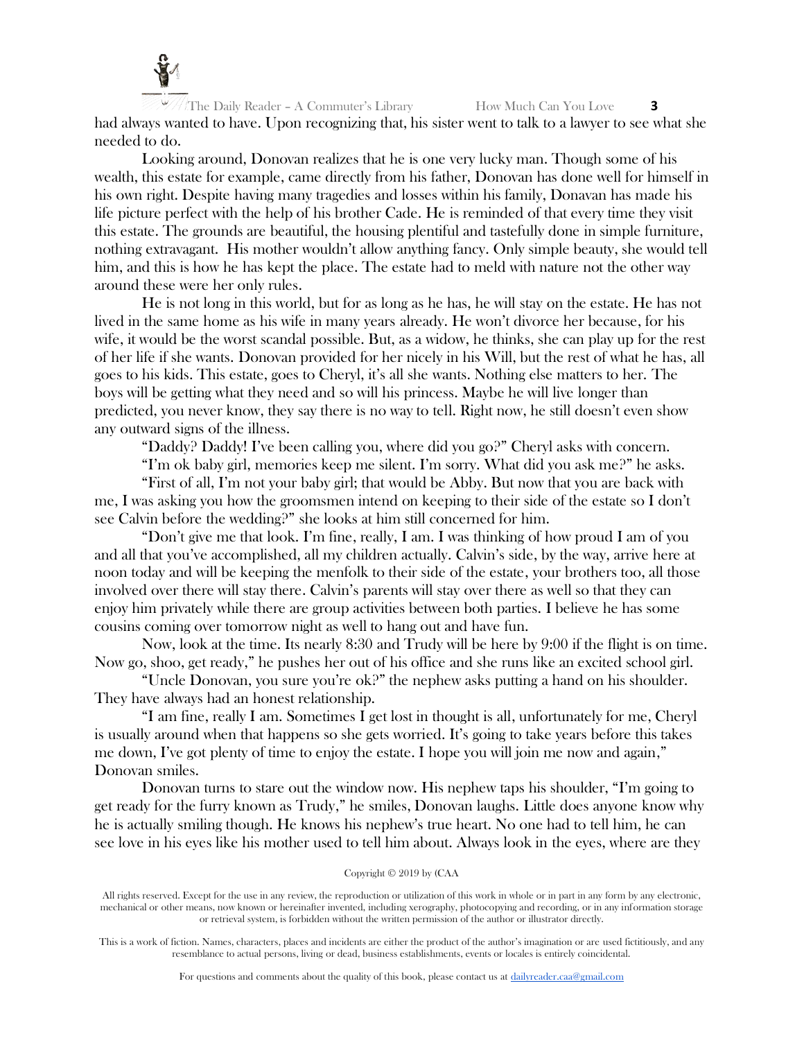

The Daily Reader – A Commuter's Library How Much Can You Love **3** had always wanted to have. Upon recognizing that, his sister went to talk to a lawyer to see what she needed to do.

Looking around, Donovan realizes that he is one very lucky man. Though some of his wealth, this estate for example, came directly from his father, Donovan has done well for himself in his own right. Despite having many tragedies and losses within his family, Donavan has made his life picture perfect with the help of his brother Cade. He is reminded of that every time they visit this estate. The grounds are beautiful, the housing plentiful and tastefully done in simple furniture, nothing extravagant. His mother wouldn't allow anything fancy. Only simple beauty, she would tell him, and this is how he has kept the place. The estate had to meld with nature not the other way around these were her only rules.

He is not long in this world, but for as long as he has, he will stay on the estate. He has not lived in the same home as his wife in many years already. He won't divorce her because, for his wife, it would be the worst scandal possible. But, as a widow, he thinks, she can play up for the rest of her life if she wants. Donovan provided for her nicely in his Will, but the rest of what he has, all goes to his kids. This estate, goes to Cheryl, it's all she wants. Nothing else matters to her. The boys will be getting what they need and so will his princess. Maybe he will live longer than predicted, you never know, they say there is no way to tell. Right now, he still doesn't even show any outward signs of the illness.

"Daddy? Daddy! I've been calling you, where did you go?" Cheryl asks with concern.

"I'm ok baby girl, memories keep me silent. I'm sorry. What did you ask me?" he asks.

"First of all, I'm not your baby girl; that would be Abby. But now that you are back with me, I was asking you how the groomsmen intend on keeping to their side of the estate so I don't see Calvin before the wedding?" she looks at him still concerned for him.

"Don't give me that look. I'm fine, really, I am. I was thinking of how proud I am of you and all that you've accomplished, all my children actually. Calvin's side, by the way, arrive here at noon today and will be keeping the menfolk to their side of the estate, your brothers too, all those involved over there will stay there. Calvin's parents will stay over there as well so that they can enjoy him privately while there are group activities between both parties. I believe he has some cousins coming over tomorrow night as well to hang out and have fun.

Now, look at the time. Its nearly 8:30 and Trudy will be here by 9:00 if the flight is on time. Now go, shoo, get ready," he pushes her out of his office and she runs like an excited school girl.

"Uncle Donovan, you sure you're ok?" the nephew asks putting a hand on his shoulder. They have always had an honest relationship.

"I am fine, really I am. Sometimes I get lost in thought is all, unfortunately for me, Cheryl is usually around when that happens so she gets worried. It's going to take years before this takes me down, I've got plenty of time to enjoy the estate. I hope you will join me now and again," Donovan smiles.

Donovan turns to stare out the window now. His nephew taps his shoulder, "I'm going to get ready for the furry known as Trudy," he smiles, Donovan laughs. Little does anyone know why he is actually smiling though. He knows his nephew's true heart. No one had to tell him, he can see love in his eyes like his mother used to tell him about. Always look in the eyes, where are they

## Copyright © 2019 by (CAA

All rights reserved. Except for the use in any review, the reproduction or utilization of this work in whole or in part in any form by any electronic, mechanical or other means, now known or hereinafter invented, including xerography, photocopying and recording, or in any information storage or retrieval system, is forbidden without the written permission of the author or illustrator directly.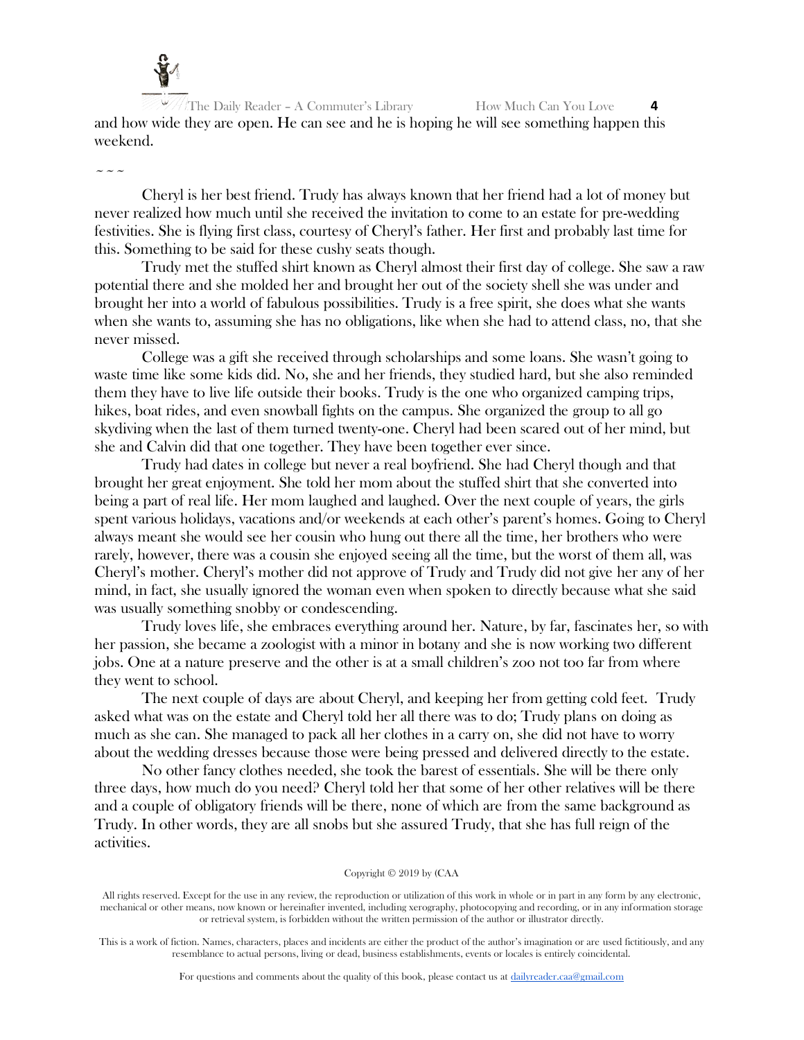

The Daily Reader – A Commuter's Library **How Much Can You Love** and how wide they are open. He can see and he is hoping he will see something happen this weekend.

 $\sim$   $\sim$   $\sim$ 

Cheryl is her best friend. Trudy has always known that her friend had a lot of money but never realized how much until she received the invitation to come to an estate for pre-wedding festivities. She is flying first class, courtesy of Cheryl's father. Her first and probably last time for this. Something to be said for these cushy seats though.

Trudy met the stuffed shirt known as Cheryl almost their first day of college. She saw a raw potential there and she molded her and brought her out of the society shell she was under and brought her into a world of fabulous possibilities. Trudy is a free spirit, she does what she wants when she wants to, assuming she has no obligations, like when she had to attend class, no, that she never missed.

College was a gift she received through scholarships and some loans. She wasn't going to waste time like some kids did. No, she and her friends, they studied hard, but she also reminded them they have to live life outside their books. Trudy is the one who organized camping trips, hikes, boat rides, and even snowball fights on the campus. She organized the group to all go skydiving when the last of them turned twenty-one. Cheryl had been scared out of her mind, but she and Calvin did that one together. They have been together ever since.

Trudy had dates in college but never a real boyfriend. She had Cheryl though and that brought her great enjoyment. She told her mom about the stuffed shirt that she converted into being a part of real life. Her mom laughed and laughed. Over the next couple of years, the girls spent various holidays, vacations and/or weekends at each other's parent's homes. Going to Cheryl always meant she would see her cousin who hung out there all the time, her brothers who were rarely, however, there was a cousin she enjoyed seeing all the time, but the worst of them all, was Cheryl's mother. Cheryl's mother did not approve of Trudy and Trudy did not give her any of her mind, in fact, she usually ignored the woman even when spoken to directly because what she said was usually something snobby or condescending.

Trudy loves life, she embraces everything around her. Nature, by far, fascinates her, so with her passion, she became a zoologist with a minor in botany and she is now working two different jobs. One at a nature preserve and the other is at a small children's zoo not too far from where they went to school.

The next couple of days are about Cheryl, and keeping her from getting cold feet. Trudy asked what was on the estate and Cheryl told her all there was to do; Trudy plans on doing as much as she can. She managed to pack all her clothes in a carry on, she did not have to worry about the wedding dresses because those were being pressed and delivered directly to the estate.

No other fancy clothes needed, she took the barest of essentials. She will be there only three days, how much do you need? Cheryl told her that some of her other relatives will be there and a couple of obligatory friends will be there, none of which are from the same background as Trudy. In other words, they are all snobs but she assured Trudy, that she has full reign of the activities.

#### Copyright © 2019 by (CAA

All rights reserved. Except for the use in any review, the reproduction or utilization of this work in whole or in part in any form by any electronic, mechanical or other means, now known or hereinafter invented, including xerography, photocopying and recording, or in any information storage or retrieval system, is forbidden without the written permission of the author or illustrator directly.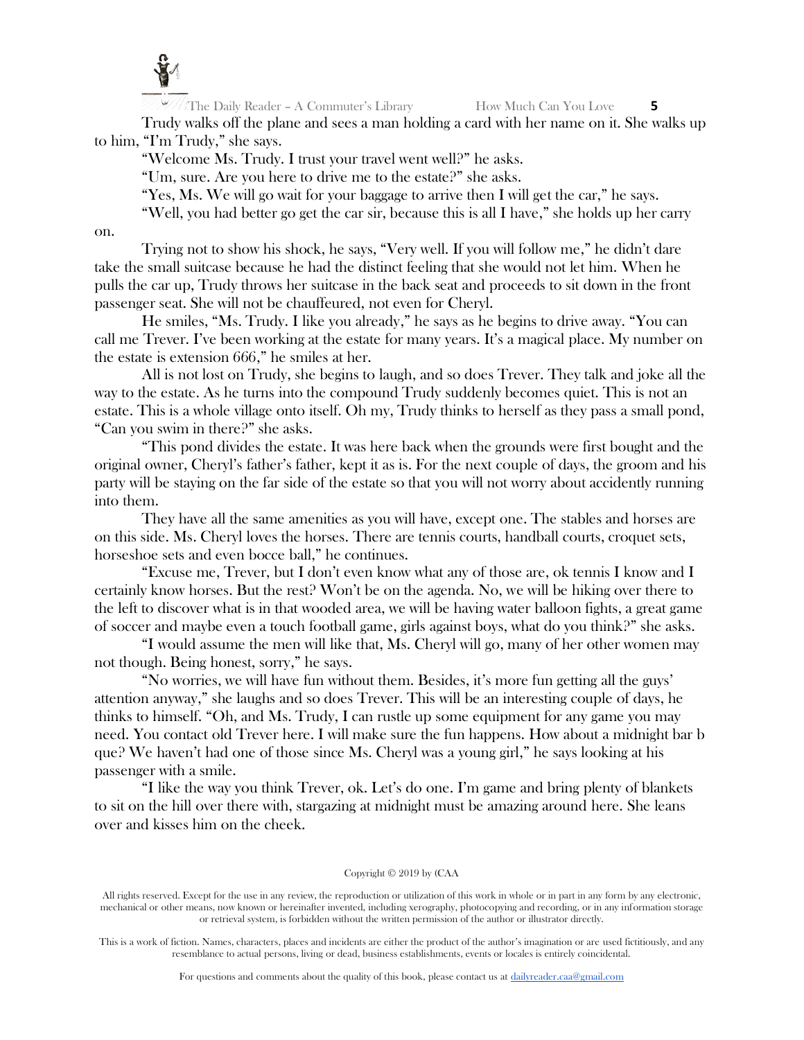

Trudy walks off the plane and sees a man holding a card with her name on it. She walks up to him, "I'm Trudy," she says.

"Welcome Ms. Trudy. I trust your travel went well?" he asks.

"Um, sure. Are you here to drive me to the estate?" she asks.

"Yes, Ms. We will go wait for your baggage to arrive then I will get the car," he says.

"Well, you had better go get the car sir, because this is all I have," she holds up her carry

on.

Trying not to show his shock, he says, "Very well. If you will follow me," he didn't dare take the small suitcase because he had the distinct feeling that she would not let him. When he pulls the car up, Trudy throws her suitcase in the back seat and proceeds to sit down in the front passenger seat. She will not be chauffeured, not even for Cheryl.

He smiles, "Ms. Trudy. I like you already," he says as he begins to drive away. "You can call me Trever. I've been working at the estate for many years. It's a magical place. My number on the estate is extension 666," he smiles at her.

All is not lost on Trudy, she begins to laugh, and so does Trever. They talk and joke all the way to the estate. As he turns into the compound Trudy suddenly becomes quiet. This is not an estate. This is a whole village onto itself. Oh my, Trudy thinks to herself as they pass a small pond, "Can you swim in there?" she asks.

"This pond divides the estate. It was here back when the grounds were first bought and the original owner, Cheryl's father's father, kept it as is. For the next couple of days, the groom and his party will be staying on the far side of the estate so that you will not worry about accidently running into them.

They have all the same amenities as you will have, except one. The stables and horses are on this side. Ms. Cheryl loves the horses. There are tennis courts, handball courts, croquet sets, horseshoe sets and even bocce ball," he continues.

"Excuse me, Trever, but I don't even know what any of those are, ok tennis I know and I certainly know horses. But the rest? Won't be on the agenda. No, we will be hiking over there to the left to discover what is in that wooded area, we will be having water balloon fights, a great game of soccer and maybe even a touch football game, girls against boys, what do you think?" she asks.

"I would assume the men will like that, Ms. Cheryl will go, many of her other women may not though. Being honest, sorry," he says.

"No worries, we will have fun without them. Besides, it's more fun getting all the guys' attention anyway," she laughs and so does Trever. This will be an interesting couple of days, he thinks to himself. "Oh, and Ms. Trudy, I can rustle up some equipment for any game you may need. You contact old Trever here. I will make sure the fun happens. How about a midnight bar b que? We haven't had one of those since Ms. Cheryl was a young girl," he says looking at his passenger with a smile.

"I like the way you think Trever, ok. Let's do one. I'm game and bring plenty of blankets to sit on the hill over there with, stargazing at midnight must be amazing around here. She leans over and kisses him on the cheek.

#### Copyright © 2019 by (CAA

All rights reserved. Except for the use in any review, the reproduction or utilization of this work in whole or in part in any form by any electronic, mechanical or other means, now known or hereinafter invented, including xerography, photocopying and recording, or in any information storage or retrieval system, is forbidden without the written permission of the author or illustrator directly.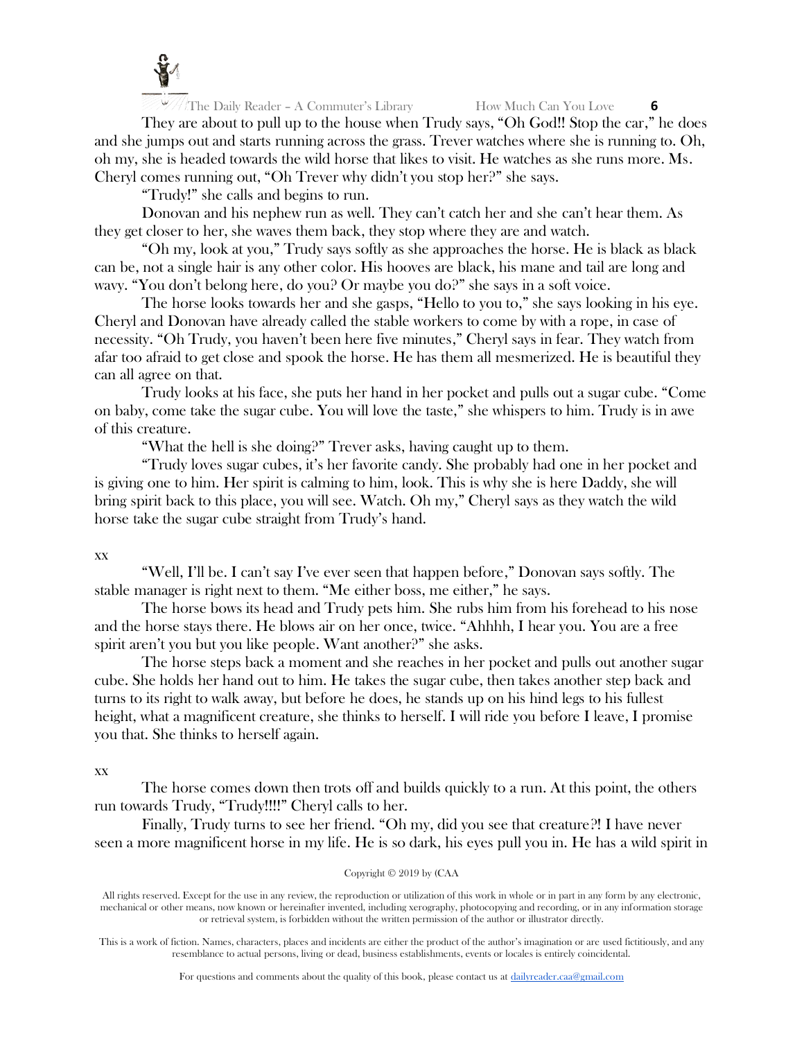

They are about to pull up to the house when Trudy says, "Oh God!! Stop the car," he does and she jumps out and starts running across the grass. Trever watches where she is running to. Oh, oh my, she is headed towards the wild horse that likes to visit. He watches as she runs more. Ms. Cheryl comes running out, "Oh Trever why didn't you stop her?" she says.

"Trudy!" she calls and begins to run.

Donovan and his nephew run as well. They can't catch her and she can't hear them. As they get closer to her, she waves them back, they stop where they are and watch.

"Oh my, look at you," Trudy says softly as she approaches the horse. He is black as black can be, not a single hair is any other color. His hooves are black, his mane and tail are long and wavy. "You don't belong here, do you? Or maybe you do?" she says in a soft voice.

The horse looks towards her and she gasps, "Hello to you to," she says looking in his eye. Cheryl and Donovan have already called the stable workers to come by with a rope, in case of necessity. "Oh Trudy, you haven't been here five minutes," Cheryl says in fear. They watch from afar too afraid to get close and spook the horse. He has them all mesmerized. He is beautiful they can all agree on that.

Trudy looks at his face, she puts her hand in her pocket and pulls out a sugar cube. "Come on baby, come take the sugar cube. You will love the taste," she whispers to him. Trudy is in awe of this creature.

"What the hell is she doing?" Trever asks, having caught up to them.

"Trudy loves sugar cubes, it's her favorite candy. She probably had one in her pocket and is giving one to him. Her spirit is calming to him, look. This is why she is here Daddy, she will bring spirit back to this place, you will see. Watch. Oh my," Cheryl says as they watch the wild horse take the sugar cube straight from Trudy's hand.

xx

"Well, I'll be. I can't say I've ever seen that happen before," Donovan says softly. The stable manager is right next to them. "Me either boss, me either," he says.

The horse bows its head and Trudy pets him. She rubs him from his forehead to his nose and the horse stays there. He blows air on her once, twice. "Ahhhh, I hear you. You are a free spirit aren't you but you like people. Want another?" she asks.

The horse steps back a moment and she reaches in her pocket and pulls out another sugar cube. She holds her hand out to him. He takes the sugar cube, then takes another step back and turns to its right to walk away, but before he does, he stands up on his hind legs to his fullest height, what a magnificent creature, she thinks to herself. I will ride you before I leave, I promise you that. She thinks to herself again.

# xx

The horse comes down then trots off and builds quickly to a run. At this point, the others run towards Trudy, "Trudy!!!!" Cheryl calls to her.

Finally, Trudy turns to see her friend. "Oh my, did you see that creature?! I have never seen a more magnificent horse in my life. He is so dark, his eyes pull you in. He has a wild spirit in

#### Copyright © 2019 by (CAA

All rights reserved. Except for the use in any review, the reproduction or utilization of this work in whole or in part in any form by any electronic, mechanical or other means, now known or hereinafter invented, including xerography, photocopying and recording, or in any information storage or retrieval system, is forbidden without the written permission of the author or illustrator directly.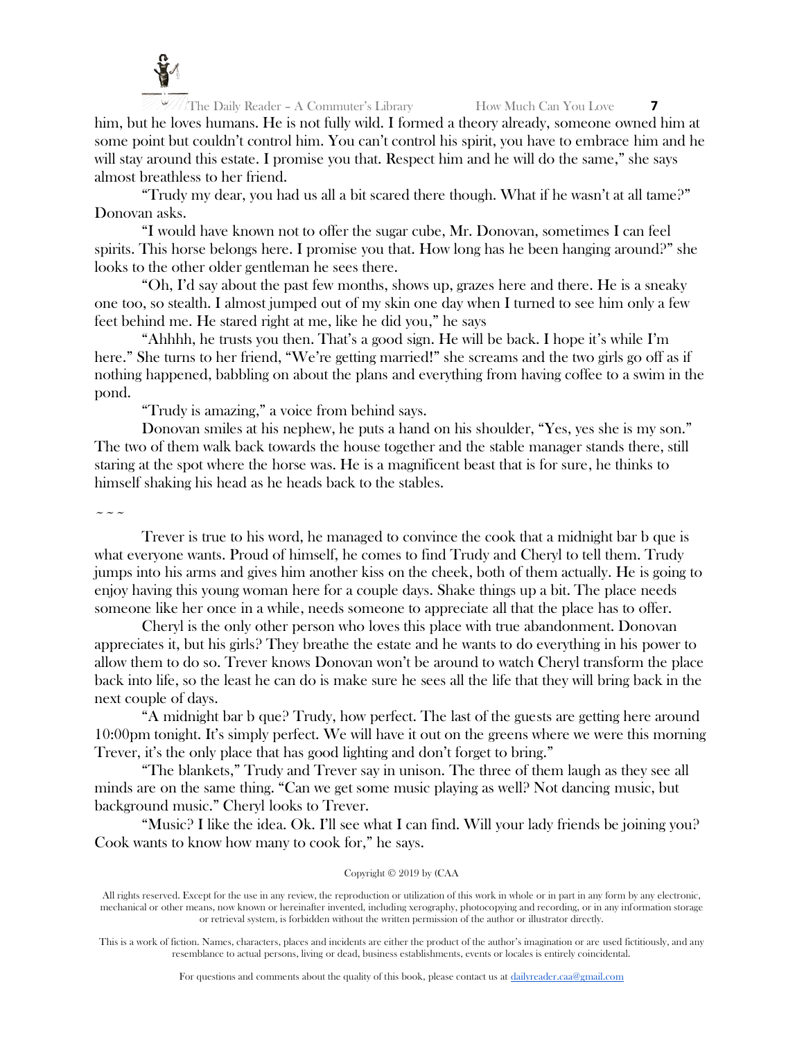

The Daily Reader – A Commuter's Library How Much Can You Love **7** him, but he loves humans. He is not fully wild. I formed a theory already, someone owned him at some point but couldn't control him. You can't control his spirit, you have to embrace him and he will stay around this estate. I promise you that. Respect him and he will do the same," she says almost breathless to her friend.

"Trudy my dear, you had us all a bit scared there though. What if he wasn't at all tame?" Donovan asks.

"I would have known not to offer the sugar cube, Mr. Donovan, sometimes I can feel spirits. This horse belongs here. I promise you that. How long has he been hanging around?" she looks to the other older gentleman he sees there.

"Oh, I'd say about the past few months, shows up, grazes here and there. He is a sneaky one too, so stealth. I almost jumped out of my skin one day when I turned to see him only a few feet behind me. He stared right at me, like he did you," he says

"Ahhhh, he trusts you then. That's a good sign. He will be back. I hope it's while I'm here." She turns to her friend, "We're getting married!" she screams and the two girls go off as if nothing happened, babbling on about the plans and everything from having coffee to a swim in the pond.

"Trudy is amazing," a voice from behind says.

Donovan smiles at his nephew, he puts a hand on his shoulder, "Yes, yes she is my son." The two of them walk back towards the house together and the stable manager stands there, still staring at the spot where the horse was. He is a magnificent beast that is for sure, he thinks to himself shaking his head as he heads back to the stables.

 $\sim$   $\sim$   $\sim$ 

Trever is true to his word, he managed to convince the cook that a midnight bar b que is what everyone wants. Proud of himself, he comes to find Trudy and Cheryl to tell them. Trudy jumps into his arms and gives him another kiss on the cheek, both of them actually. He is going to enjoy having this young woman here for a couple days. Shake things up a bit. The place needs someone like her once in a while, needs someone to appreciate all that the place has to offer.

Cheryl is the only other person who loves this place with true abandonment. Donovan appreciates it, but his girls? They breathe the estate and he wants to do everything in his power to allow them to do so. Trever knows Donovan won't be around to watch Cheryl transform the place back into life, so the least he can do is make sure he sees all the life that they will bring back in the next couple of days.

"A midnight bar b que? Trudy, how perfect. The last of the guests are getting here around 10:00pm tonight. It's simply perfect. We will have it out on the greens where we were this morning Trever, it's the only place that has good lighting and don't forget to bring."

"The blankets," Trudy and Trever say in unison. The three of them laugh as they see all minds are on the same thing. "Can we get some music playing as well? Not dancing music, but background music." Cheryl looks to Trever.

"Music? I like the idea. Ok. I'll see what I can find. Will your lady friends be joining you? Cook wants to know how many to cook for," he says.

## Copyright © 2019 by (CAA

All rights reserved. Except for the use in any review, the reproduction or utilization of this work in whole or in part in any form by any electronic, mechanical or other means, now known or hereinafter invented, including xerography, photocopying and recording, or in any information storage or retrieval system, is forbidden without the written permission of the author or illustrator directly.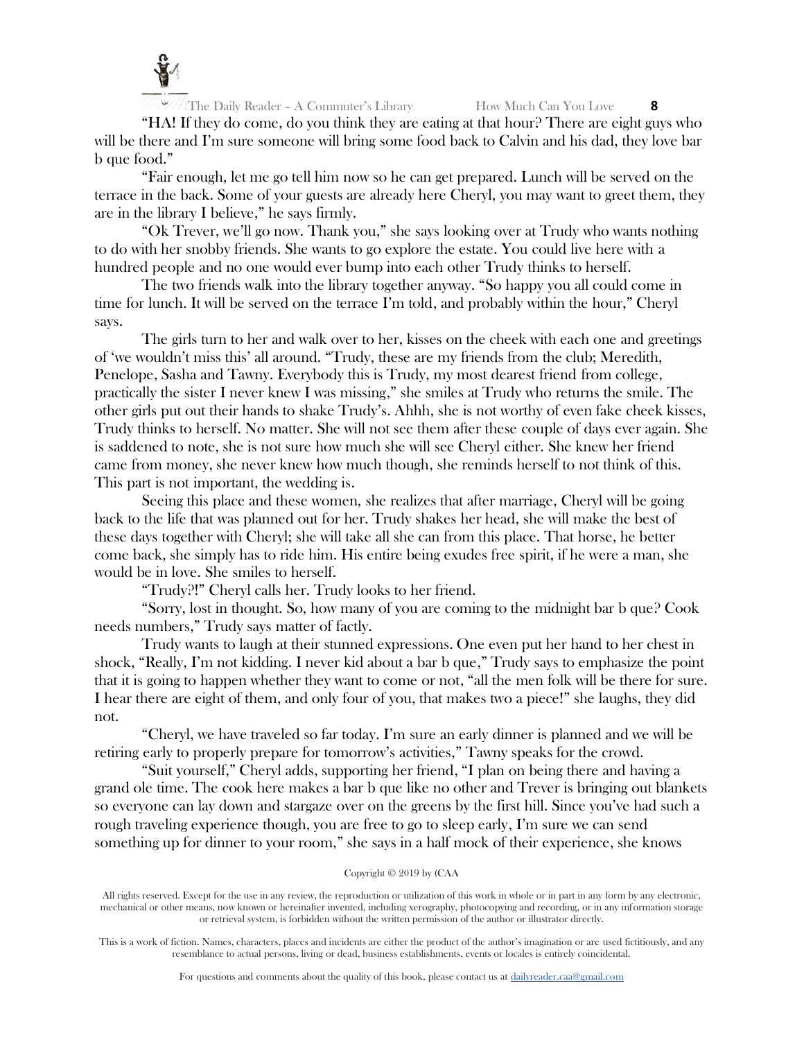

"HA! If they do come, do you think they are eating at that hour? There are eight guys who will be there and I'm sure someone will bring some food back to Calvin and his dad, they love bar b que food."

"Fair enough, let me go tell him now so he can get prepared. Lunch will be served on the terrace in the back. Some of your guests are already here Cheryl, you may want to greet them, they are in the library I believe," he says firmly.

"Ok Trever, we'll go now. Thank you," she says looking over at Trudy who wants nothing to do with her snobby friends. She wants to go explore the estate. You could live here with a hundred people and no one would ever bump into each other Trudy thinks to herself.

The two friends walk into the library together anyway. "So happy you all could come in time for lunch. It will be served on the terrace I'm told, and probably within the hour," Cheryl says.

The girls turn to her and walk over to her, kisses on the cheek with each one and greetings of 'we wouldn't miss this' all around. "Trudy, these are my friends from the club; Meredith, Penelope, Sasha and Tawny. Everybody this is Trudy, my most dearest friend from college, practically the sister I never knew I was missing," she smiles at Trudy who returns the smile. The other girls put out their hands to shake Trudy's. Ahhh, she is not worthy of even fake cheek kisses, Trudy thinks to herself. No matter. She will not see them after these couple of days ever again. She is saddened to note, she is not sure how much she will see Cheryl either. She knew her friend came from money, she never knew how much though, she reminds herself to not think of this. This part is not important, the wedding is.

Seeing this place and these women, she realizes that after marriage, Cheryl will be going back to the life that was planned out for her. Trudy shakes her head, she will make the best of these days together with Cheryl; she will take all she can from this place. That horse, he better come back, she simply has to ride him. His entire being exudes free spirit, if he were a man, she would be in love. She smiles to herself.

"Trudy?!" Cheryl calls her. Trudy looks to her friend.

"Sorry, lost in thought. So, how many of you are coming to the midnight bar b que? Cook needs numbers," Trudy says matter of factly.

Trudy wants to laugh at their stunned expressions. One even put her hand to her chest in shock, "Really, I'm not kidding. I never kid about a bar b que," Trudy says to emphasize the point that it is going to happen whether they want to come or not, "all the men folk will be there for sure. I hear there are eight of them, and only four of you, that makes two a piece!" she laughs, they did not.

"Cheryl, we have traveled so far today. I'm sure an early dinner is planned and we will be retiring early to properly prepare for tomorrow's activities," Tawny speaks for the crowd.

"Suit yourself," Cheryl adds, supporting her friend, "I plan on being there and having a grand ole time. The cook here makes a bar b que like no other and Trever is bringing out blankets so everyone can lay down and stargaze over on the greens by the first hill. Since you've had such a rough traveling experience though, you are free to go to sleep early, I'm sure we can send something up for dinner to your room," she says in a half mock of their experience, she knows

## Copyright © 2019 by (CAA

All rights reserved. Except for the use in any review, the reproduction or utilization of this work in whole or in part in any form by any electronic, mechanical or other means, now known or hereinafter invented, including xerography, photocopying and recording, or in any information storage or retrieval system, is forbidden without the written permission of the author or illustrator directly.

This is a work of fiction. Names, characters, places and incidents are either the product of the author's imagination or are used fictitiously, and any resemblance to actual persons, living or dead, business establishments, events or locales is entirely coincidental.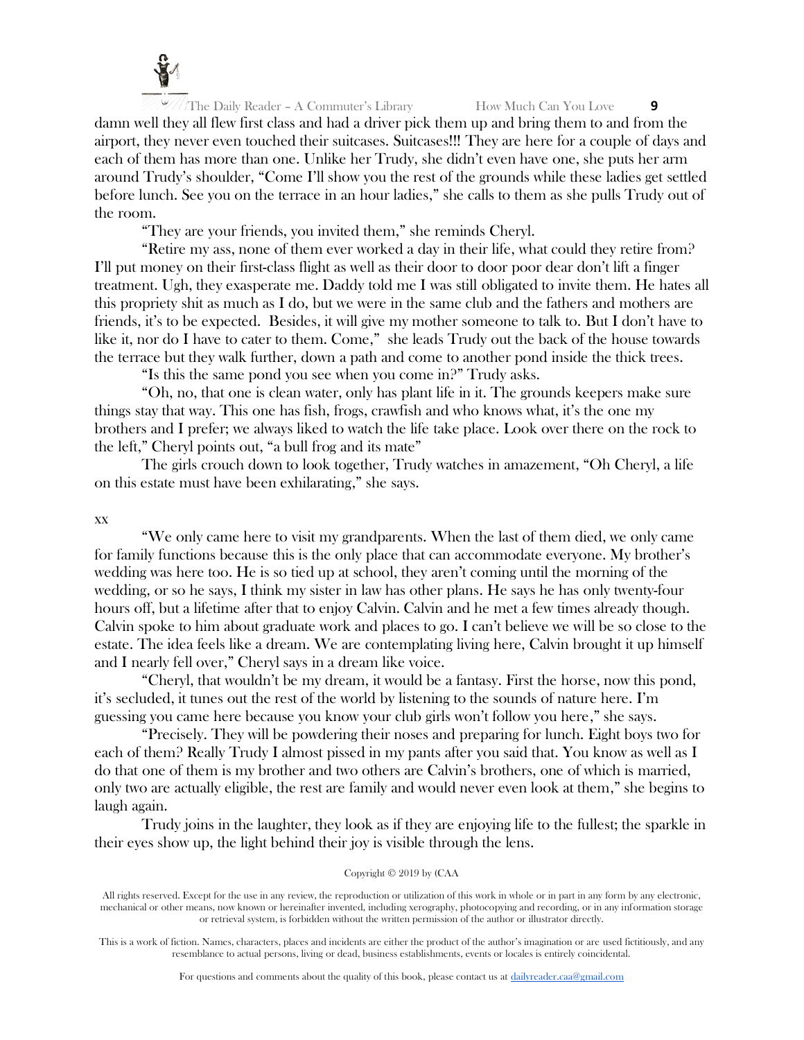

damn well they all flew first class and had a driver pick them up and bring them to and from the airport, they never even touched their suitcases. Suitcases!!! They are here for a couple of days and each of them has more than one. Unlike her Trudy, she didn't even have one, she puts her arm around Trudy's shoulder, "Come I'll show you the rest of the grounds while these ladies get settled before lunch. See you on the terrace in an hour ladies," she calls to them as she pulls Trudy out of the room.

"They are your friends, you invited them," she reminds Cheryl.

"Retire my ass, none of them ever worked a day in their life, what could they retire from? I'll put money on their first-class flight as well as their door to door poor dear don't lift a finger treatment. Ugh, they exasperate me. Daddy told me I was still obligated to invite them. He hates all this propriety shit as much as I do, but we were in the same club and the fathers and mothers are friends, it's to be expected. Besides, it will give my mother someone to talk to. But I don't have to like it, nor do I have to cater to them. Come," she leads Trudy out the back of the house towards the terrace but they walk further, down a path and come to another pond inside the thick trees.

"Is this the same pond you see when you come in?" Trudy asks.

"Oh, no, that one is clean water, only has plant life in it. The grounds keepers make sure things stay that way. This one has fish, frogs, crawfish and who knows what, it's the one my brothers and I prefer; we always liked to watch the life take place. Look over there on the rock to the left," Cheryl points out, "a bull frog and its mate"

The girls crouch down to look together, Trudy watches in amazement, "Oh Cheryl, a life on this estate must have been exhilarating," she says.

xx

"We only came here to visit my grandparents. When the last of them died, we only came for family functions because this is the only place that can accommodate everyone. My brother's wedding was here too. He is so tied up at school, they aren't coming until the morning of the wedding, or so he says, I think my sister in law has other plans. He says he has only twenty-four hours off, but a lifetime after that to enjoy Calvin. Calvin and he met a few times already though. Calvin spoke to him about graduate work and places to go. I can't believe we will be so close to the estate. The idea feels like a dream. We are contemplating living here, Calvin brought it up himself and I nearly fell over," Cheryl says in a dream like voice.

"Cheryl, that wouldn't be my dream, it would be a fantasy. First the horse, now this pond, it's secluded, it tunes out the rest of the world by listening to the sounds of nature here. I'm guessing you came here because you know your club girls won't follow you here," she says.

"Precisely. They will be powdering their noses and preparing for lunch. Eight boys two for each of them? Really Trudy I almost pissed in my pants after you said that. You know as well as I do that one of them is my brother and two others are Calvin's brothers, one of which is married, only two are actually eligible, the rest are family and would never even look at them," she begins to laugh again.

Trudy joins in the laughter, they look as if they are enjoying life to the fullest; the sparkle in their eyes show up, the light behind their joy is visible through the lens.

## Copyright © 2019 by (CAA

All rights reserved. Except for the use in any review, the reproduction or utilization of this work in whole or in part in any form by any electronic, mechanical or other means, now known or hereinafter invented, including xerography, photocopying and recording, or in any information storage or retrieval system, is forbidden without the written permission of the author or illustrator directly.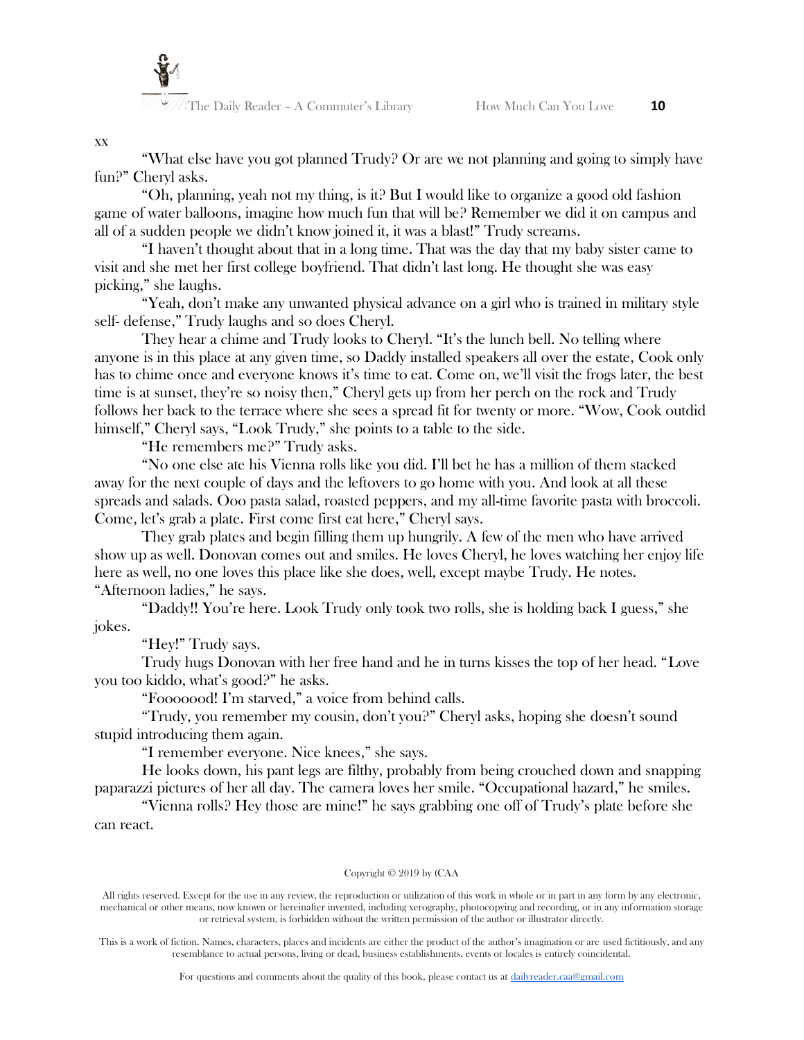

## xx

"What else have you got planned Trudy? Or are we not planning and going to simply have fun?" Cheryl asks.

"Oh, planning, yeah not my thing, is it? But I would like to organize a good old fashion game of water balloons, imagine how much fun that will be? Remember we did it on campus and all of a sudden people we didn't know joined it, it was a blast!" Trudy screams.

"I haven't thought about that in a long time. That was the day that my baby sister came to visit and she met her first college boyfriend. That didn't last long. He thought she was easy picking," she laughs.

"Yeah, don't make any unwanted physical advance on a girl who is trained in military style self- defense," Trudy laughs and so does Cheryl.

They hear a chime and Trudy looks to Cheryl. "It's the lunch bell. No telling where anyone is in this place at any given time, so Daddy installed speakers all over the estate, Cook only has to chime once and everyone knows it's time to eat. Come on, we'll visit the frogs later, the best time is at sunset, they're so noisy then," Cheryl gets up from her perch on the rock and Trudy follows her back to the terrace where she sees a spread fit for twenty or more. "Wow, Cook outdid himself," Cheryl says, "Look Trudy," she points to a table to the side.

"He remembers me?" Trudy asks.

"No one else ate his Vienna rolls like you did. I'll bet he has a million of them stacked away for the next couple of days and the leftovers to go home with you. And look at all these spreads and salads. Ooo pasta salad, roasted peppers, and my all-time favorite pasta with broccoli. Come, let's grab a plate. First come first eat here," Cheryl says.

They grab plates and begin filling them up hungrily. A few of the men who have arrived show up as well. Donovan comes out and smiles. He loves Cheryl, he loves watching her enjoy life here as well, no one loves this place like she does, well, except maybe Trudy. He notes. "Afternoon ladies," he says.

"Daddy!! You're here. Look Trudy only took two rolls, she is holding back I guess," she jokes.

"Hey!" Trudy says.

Trudy hugs Donovan with her free hand and he in turns kisses the top of her head. "Love you too kiddo, what's good?" he asks.

"Fooooood! I'm starved," a voice from behind calls.

"Trudy, you remember my cousin, don't you?" Cheryl asks, hoping she doesn't sound stupid introducing them again.

"I remember everyone. Nice knees," she says.

He looks down, his pant legs are filthy, probably from being crouched down and snapping paparazzi pictures of her all day. The camera loves her smile. "Occupational hazard," he smiles.

"Vienna rolls? Hey those are mine!" he says grabbing one off of Trudy's plate before she can react.

#### Copyright © 2019 by (CAA

All rights reserved. Except for the use in any review, the reproduction or utilization of this work in whole or in part in any form by any electronic, mechanical or other means, now known or hereinafter invented, including xerography, photocopying and recording, or in any information storage or retrieval system, is forbidden without the written permission of the author or illustrator directly.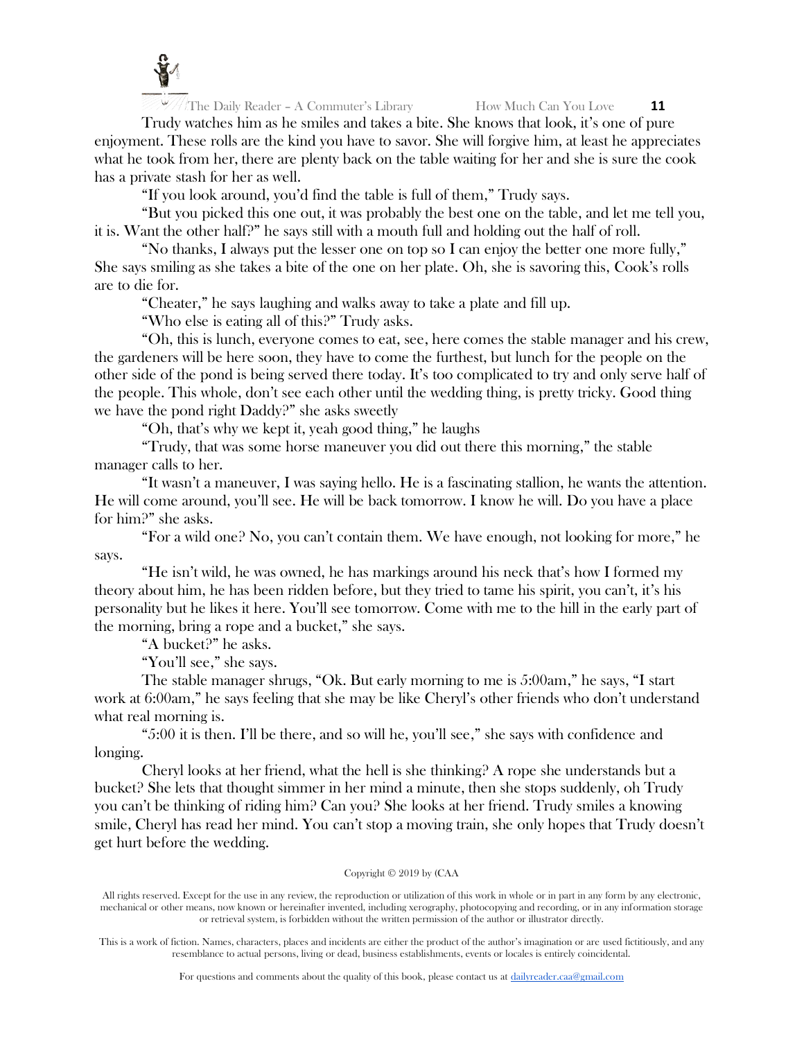

 $\sqrt{\frac{1}{\pi}}$ The Daily Reader – A Commuter's Library **How Much Can You Love 11** 

Trudy watches him as he smiles and takes a bite. She knows that look, it's one of pure enjoyment. These rolls are the kind you have to savor. She will forgive him, at least he appreciates what he took from her, there are plenty back on the table waiting for her and she is sure the cook has a private stash for her as well.

"If you look around, you'd find the table is full of them," Trudy says.

"But you picked this one out, it was probably the best one on the table, and let me tell you, it is. Want the other half?" he says still with a mouth full and holding out the half of roll.

"No thanks, I always put the lesser one on top so I can enjoy the better one more fully," She says smiling as she takes a bite of the one on her plate. Oh, she is savoring this, Cook's rolls are to die for.

"Cheater," he says laughing and walks away to take a plate and fill up.

"Who else is eating all of this?" Trudy asks.

"Oh, this is lunch, everyone comes to eat, see, here comes the stable manager and his crew, the gardeners will be here soon, they have to come the furthest, but lunch for the people on the other side of the pond is being served there today. It's too complicated to try and only serve half of the people. This whole, don't see each other until the wedding thing, is pretty tricky. Good thing we have the pond right Daddy?" she asks sweetly

"Oh, that's why we kept it, yeah good thing," he laughs

"Trudy, that was some horse maneuver you did out there this morning," the stable manager calls to her.

"It wasn't a maneuver, I was saying hello. He is a fascinating stallion, he wants the attention. He will come around, you'll see. He will be back tomorrow. I know he will. Do you have a place for him?" she asks.

"For a wild one? No, you can't contain them. We have enough, not looking for more," he says.

"He isn't wild, he was owned, he has markings around his neck that's how I formed my theory about him, he has been ridden before, but they tried to tame his spirit, you can't, it's his personality but he likes it here. You'll see tomorrow. Come with me to the hill in the early part of the morning, bring a rope and a bucket," she says.

"A bucket?" he asks.

"You'll see," she says.

The stable manager shrugs, "Ok. But early morning to me is 5:00am," he says, "I start work at 6:00am," he says feeling that she may be like Cheryl's other friends who don't understand what real morning is.

"5:00 it is then. I'll be there, and so will he, you'll see," she says with confidence and longing.

Cheryl looks at her friend, what the hell is she thinking? A rope she understands but a bucket? She lets that thought simmer in her mind a minute, then she stops suddenly, oh Trudy you can't be thinking of riding him? Can you? She looks at her friend. Trudy smiles a knowing smile, Cheryl has read her mind. You can't stop a moving train, she only hopes that Trudy doesn't get hurt before the wedding.

# Copyright © 2019 by (CAA

All rights reserved. Except for the use in any review, the reproduction or utilization of this work in whole or in part in any form by any electronic, mechanical or other means, now known or hereinafter invented, including xerography, photocopying and recording, or in any information storage or retrieval system, is forbidden without the written permission of the author or illustrator directly.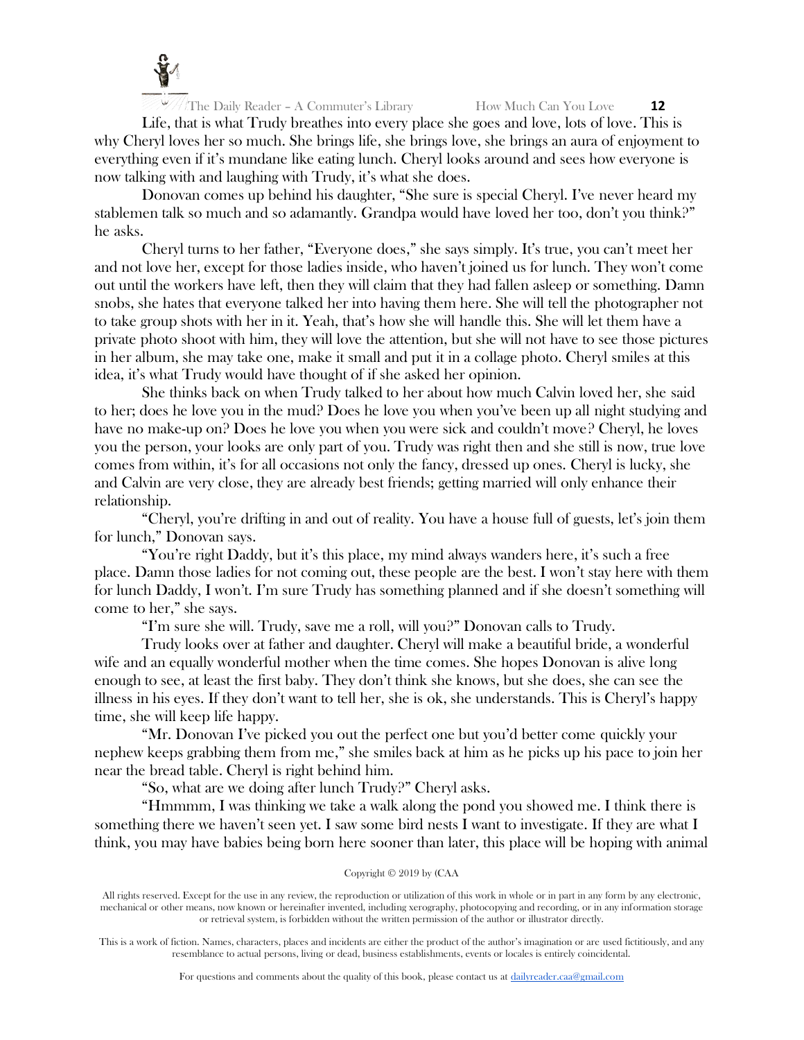

Life, that is what Trudy breathes into every place she goes and love, lots of love. This is why Cheryl loves her so much. She brings life, she brings love, she brings an aura of enjoyment to everything even if it's mundane like eating lunch. Cheryl looks around and sees how everyone is now talking with and laughing with Trudy, it's what she does.

Donovan comes up behind his daughter, "She sure is special Cheryl. I've never heard my stablemen talk so much and so adamantly. Grandpa would have loved her too, don't you think?" he asks.

Cheryl turns to her father, "Everyone does," she says simply. It's true, you can't meet her and not love her, except for those ladies inside, who haven't joined us for lunch. They won't come out until the workers have left, then they will claim that they had fallen asleep or something. Damn snobs, she hates that everyone talked her into having them here. She will tell the photographer not to take group shots with her in it. Yeah, that's how she will handle this. She will let them have a private photo shoot with him, they will love the attention, but she will not have to see those pictures in her album, she may take one, make it small and put it in a collage photo. Cheryl smiles at this idea, it's what Trudy would have thought of if she asked her opinion.

She thinks back on when Trudy talked to her about how much Calvin loved her, she said to her; does he love you in the mud? Does he love you when you've been up all night studying and have no make-up on? Does he love you when you were sick and couldn't move? Cheryl, he loves you the person, your looks are only part of you. Trudy was right then and she still is now, true love comes from within, it's for all occasions not only the fancy, dressed up ones. Cheryl is lucky, she and Calvin are very close, they are already best friends; getting married will only enhance their relationship.

"Cheryl, you're drifting in and out of reality. You have a house full of guests, let's join them for lunch," Donovan says.

"You're right Daddy, but it's this place, my mind always wanders here, it's such a free place. Damn those ladies for not coming out, these people are the best. I won't stay here with them for lunch Daddy, I won't. I'm sure Trudy has something planned and if she doesn't something will come to her," she says.

"I'm sure she will. Trudy, save me a roll, will you?" Donovan calls to Trudy.

Trudy looks over at father and daughter. Cheryl will make a beautiful bride, a wonderful wife and an equally wonderful mother when the time comes. She hopes Donovan is alive long enough to see, at least the first baby. They don't think she knows, but she does, she can see the illness in his eyes. If they don't want to tell her, she is ok, she understands. This is Cheryl's happy time, she will keep life happy.

"Mr. Donovan I've picked you out the perfect one but you'd better come quickly your nephew keeps grabbing them from me," she smiles back at him as he picks up his pace to join her near the bread table. Cheryl is right behind him.

"So, what are we doing after lunch Trudy?" Cheryl asks.

"Hmmmm, I was thinking we take a walk along the pond you showed me. I think there is something there we haven't seen yet. I saw some bird nests I want to investigate. If they are what I think, you may have babies being born here sooner than later, this place will be hoping with animal

Copyright © 2019 by (CAA

All rights reserved. Except for the use in any review, the reproduction or utilization of this work in whole or in part in any form by any electronic, mechanical or other means, now known or hereinafter invented, including xerography, photocopying and recording, or in any information storage or retrieval system, is forbidden without the written permission of the author or illustrator directly.

This is a work of fiction. Names, characters, places and incidents are either the product of the author's imagination or are used fictitiously, and any resemblance to actual persons, living or dead, business establishments, events or locales is entirely coincidental.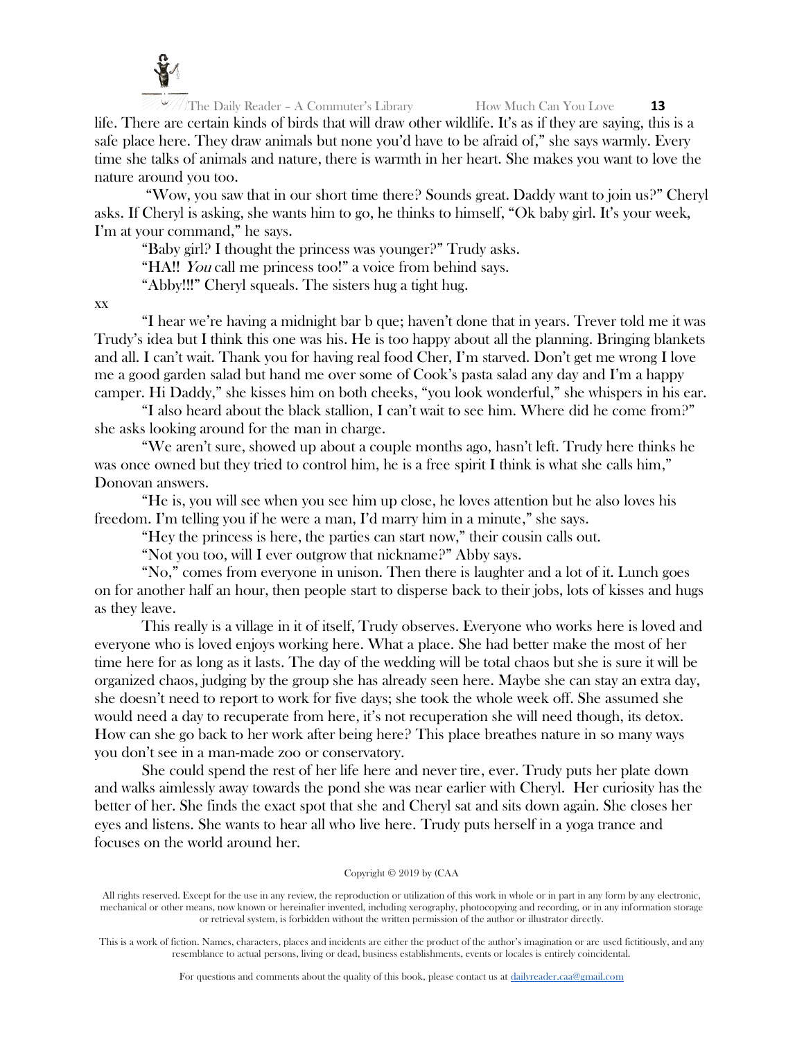

life. There are certain kinds of birds that will draw other wildlife. It's as if they are saying, this is a safe place here. They draw animals but none you'd have to be afraid of," she says warmly. Every time she talks of animals and nature, there is warmth in her heart. She makes you want to love the nature around you too.

"Wow, you saw that in our short time there? Sounds great. Daddy want to join us?" Cheryl asks. If Cheryl is asking, she wants him to go, he thinks to himself, "Ok baby girl. It's your week, I'm at your command," he says.

"Baby girl? I thought the princess was younger?" Trudy asks.

"HA!! You call me princess too!" a voice from behind says.

"Abby!!!" Cheryl squeals. The sisters hug a tight hug.

xx

"I hear we're having a midnight bar b que; haven't done that in years. Trever told me it was Trudy's idea but I think this one was his. He is too happy about all the planning. Bringing blankets and all. I can't wait. Thank you for having real food Cher, I'm starved. Don't get me wrong I love me a good garden salad but hand me over some of Cook's pasta salad any day and I'm a happy camper. Hi Daddy," she kisses him on both cheeks, "you look wonderful," she whispers in his ear.

"I also heard about the black stallion, I can't wait to see him. Where did he come from?" she asks looking around for the man in charge.

"We aren't sure, showed up about a couple months ago, hasn't left. Trudy here thinks he was once owned but they tried to control him, he is a free spirit I think is what she calls him," Donovan answers.

"He is, you will see when you see him up close, he loves attention but he also loves his freedom. I'm telling you if he were a man, I'd marry him in a minute," she says.

"Hey the princess is here, the parties can start now," their cousin calls out.

"Not you too, will I ever outgrow that nickname?" Abby says.

"No," comes from everyone in unison. Then there is laughter and a lot of it. Lunch goes on for another half an hour, then people start to disperse back to their jobs, lots of kisses and hugs as they leave.

This really is a village in it of itself, Trudy observes. Everyone who works here is loved and everyone who is loved enjoys working here. What a place. She had better make the most of her time here for as long as it lasts. The day of the wedding will be total chaos but she is sure it will be organized chaos, judging by the group she has already seen here. Maybe she can stay an extra day, she doesn't need to report to work for five days; she took the whole week off. She assumed she would need a day to recuperate from here, it's not recuperation she will need though, its detox. How can she go back to her work after being here? This place breathes nature in so many ways you don't see in a man-made zoo or conservatory.

She could spend the rest of her life here and never tire, ever. Trudy puts her plate down and walks aimlessly away towards the pond she was near earlier with Cheryl. Her curiosity has the better of her. She finds the exact spot that she and Cheryl sat and sits down again. She closes her eyes and listens. She wants to hear all who live here. Trudy puts herself in a yoga trance and focuses on the world around her.

## Copyright © 2019 by (CAA

All rights reserved. Except for the use in any review, the reproduction or utilization of this work in whole or in part in any form by any electronic, mechanical or other means, now known or hereinafter invented, including xerography, photocopying and recording, or in any information storage or retrieval system, is forbidden without the written permission of the author or illustrator directly.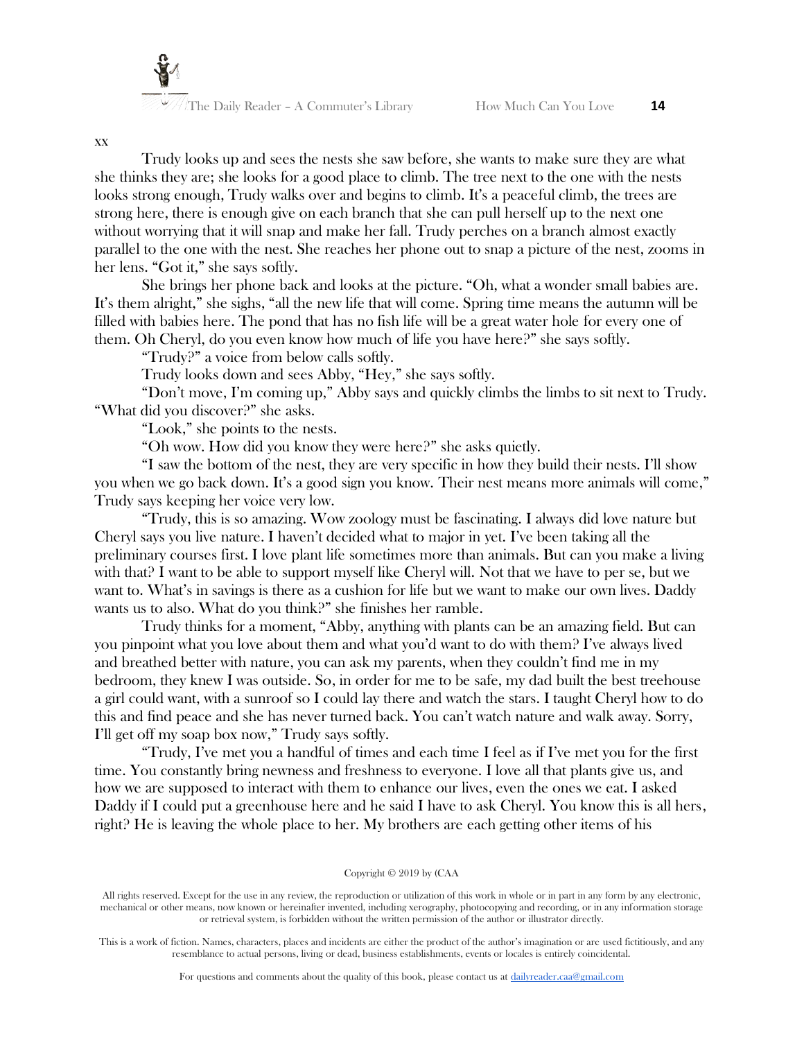

Trudy looks up and sees the nests she saw before, she wants to make sure they are what she thinks they are; she looks for a good place to climb. The tree next to the one with the nests looks strong enough, Trudy walks over and begins to climb. It's a peaceful climb, the trees are strong here, there is enough give on each branch that she can pull herself up to the next one without worrying that it will snap and make her fall. Trudy perches on a branch almost exactly parallel to the one with the nest. She reaches her phone out to snap a picture of the nest, zooms in her lens. "Got it," she says softly.

She brings her phone back and looks at the picture. "Oh, what a wonder small babies are. It's them alright," she sighs, "all the new life that will come. Spring time means the autumn will be filled with babies here. The pond that has no fish life will be a great water hole for every one of them. Oh Cheryl, do you even know how much of life you have here?" she says softly.

"Trudy?" a voice from below calls softly.

Trudy looks down and sees Abby, "Hey," she says softly.

"Don't move, I'm coming up," Abby says and quickly climbs the limbs to sit next to Trudy. "What did you discover?" she asks.

"Look," she points to the nests.

"Oh wow. How did you know they were here?" she asks quietly.

"I saw the bottom of the nest, they are very specific in how they build their nests. I'll show you when we go back down. It's a good sign you know. Their nest means more animals will come," Trudy says keeping her voice very low.

"Trudy, this is so amazing. Wow zoology must be fascinating. I always did love nature but Cheryl says you live nature. I haven't decided what to major in yet. I've been taking all the preliminary courses first. I love plant life sometimes more than animals. But can you make a living with that? I want to be able to support myself like Cheryl will. Not that we have to per se, but we want to. What's in savings is there as a cushion for life but we want to make our own lives. Daddy wants us to also. What do you think?" she finishes her ramble.

Trudy thinks for a moment, "Abby, anything with plants can be an amazing field. But can you pinpoint what you love about them and what you'd want to do with them? I've always lived and breathed better with nature, you can ask my parents, when they couldn't find me in my bedroom, they knew I was outside. So, in order for me to be safe, my dad built the best treehouse a girl could want, with a sunroof so I could lay there and watch the stars. I taught Cheryl how to do this and find peace and she has never turned back. You can't watch nature and walk away. Sorry, I'll get off my soap box now," Trudy says softly.

"Trudy, I've met you a handful of times and each time I feel as if I've met you for the first time. You constantly bring newness and freshness to everyone. I love all that plants give us, and how we are supposed to interact with them to enhance our lives, even the ones we eat. I asked Daddy if I could put a greenhouse here and he said I have to ask Cheryl. You know this is all hers, right? He is leaving the whole place to her. My brothers are each getting other items of his

#### Copyright © 2019 by (CAA

This is a work of fiction. Names, characters, places and incidents are either the product of the author's imagination or are used fictitiously, and any resemblance to actual persons, living or dead, business establishments, events or locales is entirely coincidental.

xx

All rights reserved. Except for the use in any review, the reproduction or utilization of this work in whole or in part in any form by any electronic, mechanical or other means, now known or hereinafter invented, including xerography, photocopying and recording, or in any information storage or retrieval system, is forbidden without the written permission of the author or illustrator directly.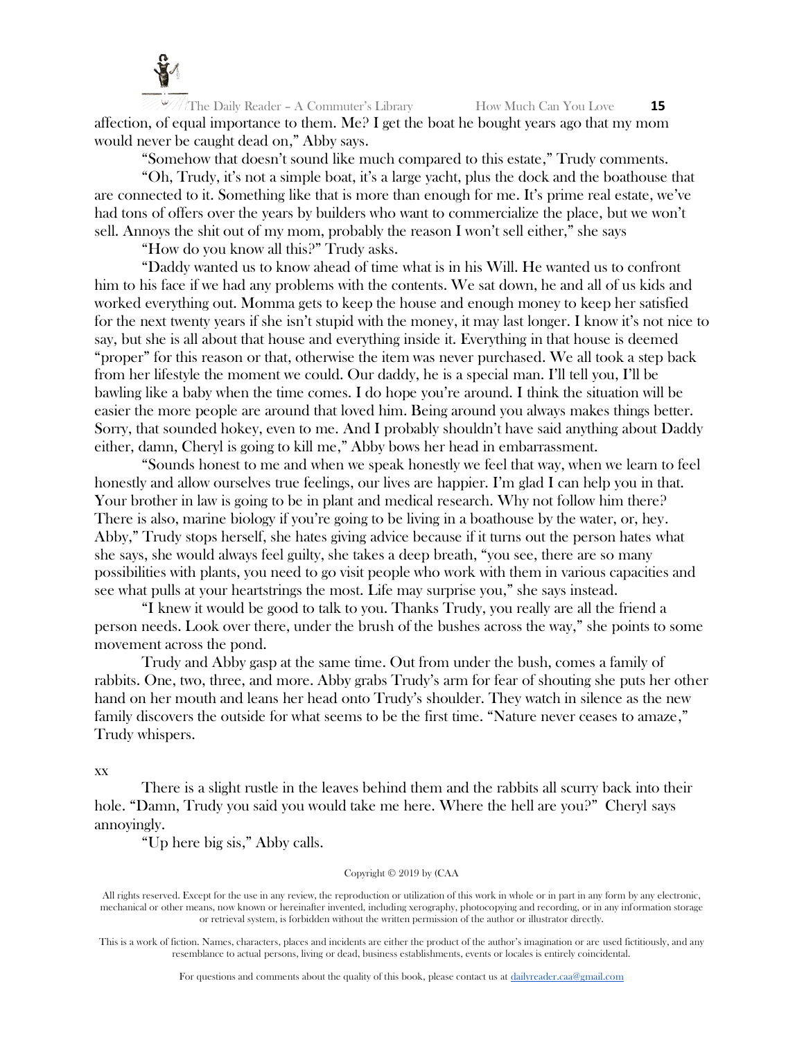

The Daily Reader – A Commuter's Library How Much Can You Love **15** affection, of equal importance to them. Me? I get the boat he bought years ago that my mom would never be caught dead on," Abby says.

"Somehow that doesn't sound like much compared to this estate," Trudy comments.

"Oh, Trudy, it's not a simple boat, it's a large yacht, plus the dock and the boathouse that are connected to it. Something like that is more than enough for me. It's prime real estate, we've had tons of offers over the years by builders who want to commercialize the place, but we won't sell. Annoys the shit out of my mom, probably the reason I won't sell either," she says

"How do you know all this?" Trudy asks.

"Daddy wanted us to know ahead of time what is in his Will. He wanted us to confront him to his face if we had any problems with the contents. We sat down, he and all of us kids and worked everything out. Momma gets to keep the house and enough money to keep her satisfied for the next twenty years if she isn't stupid with the money, it may last longer. I know it's not nice to say, but she is all about that house and everything inside it. Everything in that house is deemed "proper" for this reason or that, otherwise the item was never purchased. We all took a step back from her lifestyle the moment we could. Our daddy, he is a special man. I'll tell you, I'll be bawling like a baby when the time comes. I do hope you're around. I think the situation will be easier the more people are around that loved him. Being around you always makes things better. Sorry, that sounded hokey, even to me. And I probably shouldn't have said anything about Daddy either, damn, Cheryl is going to kill me," Abby bows her head in embarrassment.

"Sounds honest to me and when we speak honestly we feel that way, when we learn to feel honestly and allow ourselves true feelings, our lives are happier. I'm glad I can help you in that. Your brother in law is going to be in plant and medical research. Why not follow him there? There is also, marine biology if you're going to be living in a boathouse by the water, or, hey. Abby," Trudy stops herself, she hates giving advice because if it turns out the person hates what she says, she would always feel guilty, she takes a deep breath, "you see, there are so many possibilities with plants, you need to go visit people who work with them in various capacities and see what pulls at your heartstrings the most. Life may surprise you," she says instead.

"I knew it would be good to talk to you. Thanks Trudy, you really are all the friend a person needs. Look over there, under the brush of the bushes across the way," she points to some movement across the pond.

Trudy and Abby gasp at the same time. Out from under the bush, comes a family of rabbits. One, two, three, and more. Abby grabs Trudy's arm for fear of shouting she puts her other hand on her mouth and leans her head onto Trudy's shoulder. They watch in silence as the new family discovers the outside for what seems to be the first time. "Nature never ceases to amaze," Trudy whispers.

xx

There is a slight rustle in the leaves behind them and the rabbits all scurry back into their hole. "Damn, Trudy you said you would take me here. Where the hell are you?" Cheryl says annoyingly.

"Up here big sis," Abby calls.

Copyright © 2019 by (CAA

All rights reserved. Except for the use in any review, the reproduction or utilization of this work in whole or in part in any form by any electronic, mechanical or other means, now known or hereinafter invented, including xerography, photocopying and recording, or in any information storage or retrieval system, is forbidden without the written permission of the author or illustrator directly.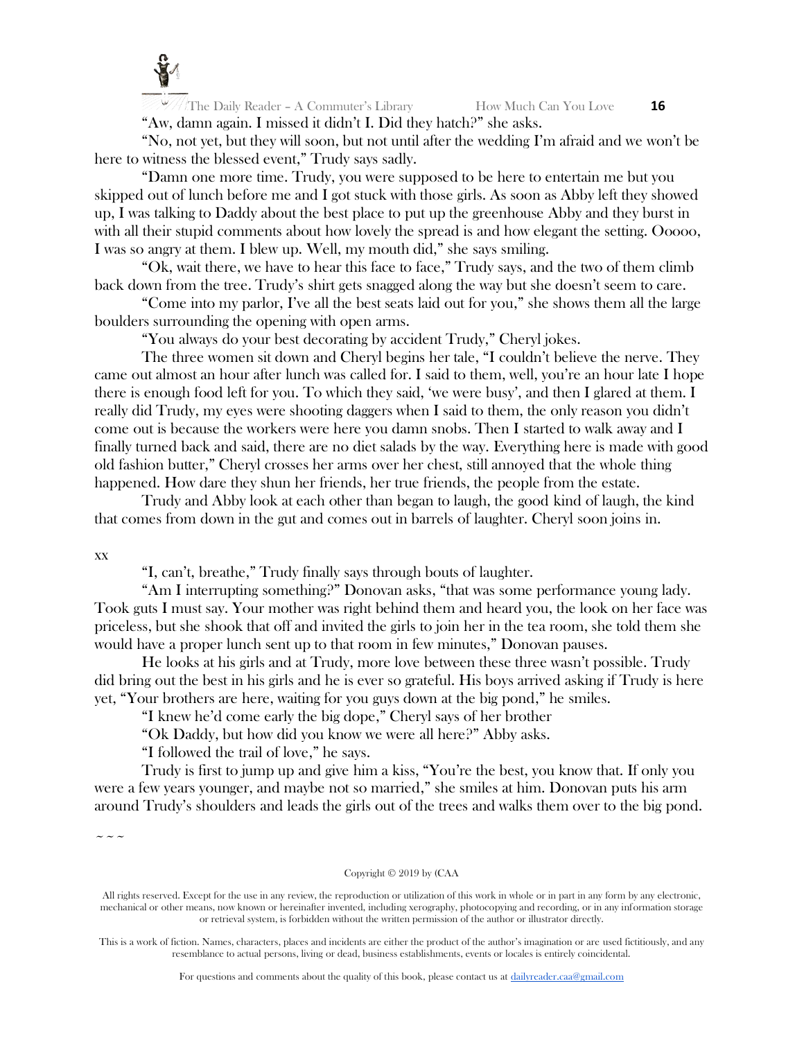

The Daily Reader – A Commuter's Library How Much Can You Love **16** "Aw, damn again. I missed it didn't I. Did they hatch?" she asks.

"No, not yet, but they will soon, but not until after the wedding I'm afraid and we won't be here to witness the blessed event," Trudy says sadly.

"Damn one more time. Trudy, you were supposed to be here to entertain me but you skipped out of lunch before me and I got stuck with those girls. As soon as Abby left they showed up, I was talking to Daddy about the best place to put up the greenhouse Abby and they burst in with all their stupid comments about how lovely the spread is and how elegant the setting. Ooooo, I was so angry at them. I blew up. Well, my mouth did," she says smiling.

"Ok, wait there, we have to hear this face to face," Trudy says, and the two of them climb back down from the tree. Trudy's shirt gets snagged along the way but she doesn't seem to care.

"Come into my parlor, I've all the best seats laid out for you," she shows them all the large boulders surrounding the opening with open arms.

"You always do your best decorating by accident Trudy," Cheryl jokes.

The three women sit down and Cheryl begins her tale, "I couldn't believe the nerve. They came out almost an hour after lunch was called for. I said to them, well, you're an hour late I hope there is enough food left for you. To which they said, 'we were busy', and then I glared at them. I really did Trudy, my eyes were shooting daggers when I said to them, the only reason you didn't come out is because the workers were here you damn snobs. Then I started to walk away and I finally turned back and said, there are no diet salads by the way. Everything here is made with good old fashion butter," Cheryl crosses her arms over her chest, still annoyed that the whole thing happened. How dare they shun her friends, her true friends, the people from the estate.

Trudy and Abby look at each other than began to laugh, the good kind of laugh, the kind that comes from down in the gut and comes out in barrels of laughter. Cheryl soon joins in.

xx

"I, can't, breathe," Trudy finally says through bouts of laughter.

"Am I interrupting something?" Donovan asks, "that was some performance young lady. Took guts I must say. Your mother was right behind them and heard you, the look on her face was priceless, but she shook that off and invited the girls to join her in the tea room, she told them she would have a proper lunch sent up to that room in few minutes," Donovan pauses.

He looks at his girls and at Trudy, more love between these three wasn't possible. Trudy did bring out the best in his girls and he is ever so grateful. His boys arrived asking if Trudy is here yet, "Your brothers are here, waiting for you guys down at the big pond," he smiles.

"I knew he'd come early the big dope," Cheryl says of her brother

"Ok Daddy, but how did you know we were all here?" Abby asks.

"I followed the trail of love," he says.

Trudy is first to jump up and give him a kiss, "You're the best, you know that. If only you were a few years younger, and maybe not so married," she smiles at him. Donovan puts his arm around Trudy's shoulders and leads the girls out of the trees and walks them over to the big pond.

 $\sim\sim\sim$ 

Copyright © 2019 by (CAA

All rights reserved. Except for the use in any review, the reproduction or utilization of this work in whole or in part in any form by any electronic, mechanical or other means, now known or hereinafter invented, including xerography, photocopying and recording, or in any information storage or retrieval system, is forbidden without the written permission of the author or illustrator directly.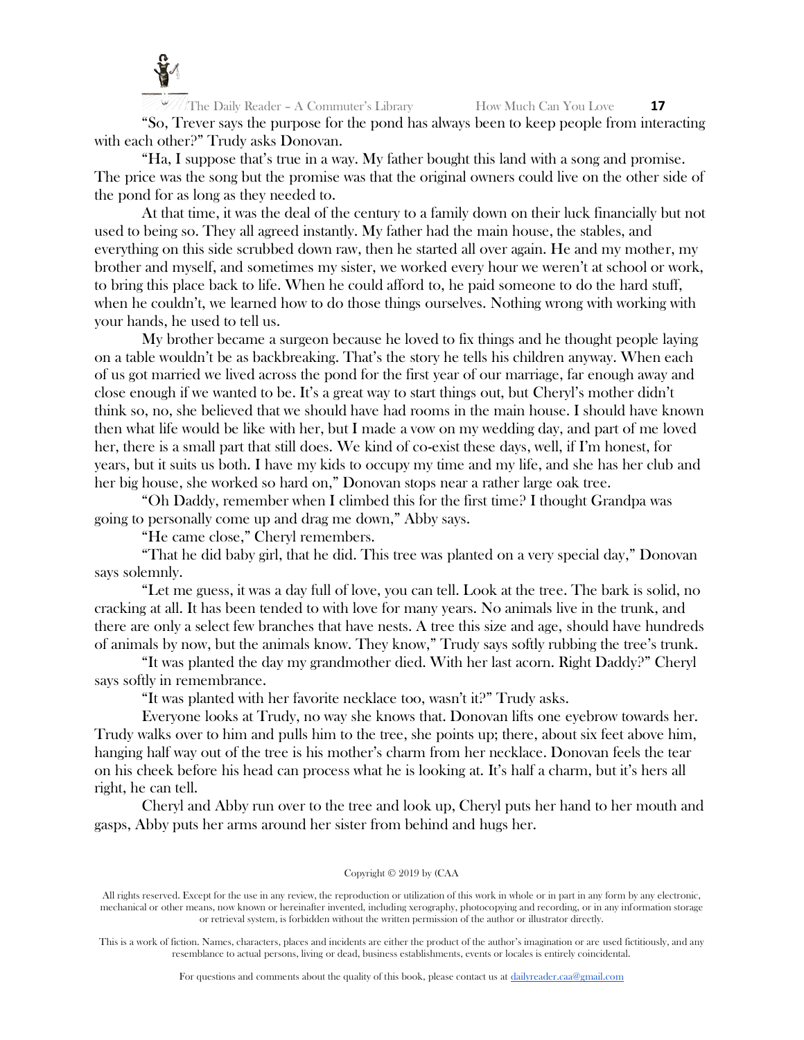

The Daily Reader – A Commuter's Library How Much Can You Love **17** "So, Trever says the purpose for the pond has always been to keep people from interacting with each other?" Trudy asks Donovan.

"Ha, I suppose that's true in a way. My father bought this land with a song and promise. The price was the song but the promise was that the original owners could live on the other side of the pond for as long as they needed to.

At that time, it was the deal of the century to a family down on their luck financially but not used to being so. They all agreed instantly. My father had the main house, the stables, and everything on this side scrubbed down raw, then he started all over again. He and my mother, my brother and myself, and sometimes my sister, we worked every hour we weren't at school or work, to bring this place back to life. When he could afford to, he paid someone to do the hard stuff, when he couldn't, we learned how to do those things ourselves. Nothing wrong with working with your hands, he used to tell us.

My brother became a surgeon because he loved to fix things and he thought people laying on a table wouldn't be as backbreaking. That's the story he tells his children anyway. When each of us got married we lived across the pond for the first year of our marriage, far enough away and close enough if we wanted to be. It's a great way to start things out, but Cheryl's mother didn't think so, no, she believed that we should have had rooms in the main house. I should have known then what life would be like with her, but I made a vow on my wedding day, and part of me loved her, there is a small part that still does. We kind of co-exist these days, well, if I'm honest, for years, but it suits us both. I have my kids to occupy my time and my life, and she has her club and her big house, she worked so hard on," Donovan stops near a rather large oak tree.

"Oh Daddy, remember when I climbed this for the first time? I thought Grandpa was going to personally come up and drag me down," Abby says.

"He came close," Cheryl remembers.

"That he did baby girl, that he did. This tree was planted on a very special day," Donovan says solemnly.

"Let me guess, it was a day full of love, you can tell. Look at the tree. The bark is solid, no cracking at all. It has been tended to with love for many years. No animals live in the trunk, and there are only a select few branches that have nests. A tree this size and age, should have hundreds of animals by now, but the animals know. They know," Trudy says softly rubbing the tree's trunk.

"It was planted the day my grandmother died. With her last acorn. Right Daddy?" Cheryl says softly in remembrance.

"It was planted with her favorite necklace too, wasn't it?" Trudy asks.

Everyone looks at Trudy, no way she knows that. Donovan lifts one eyebrow towards her. Trudy walks over to him and pulls him to the tree, she points up; there, about six feet above him, hanging half way out of the tree is his mother's charm from her necklace. Donovan feels the tear on his cheek before his head can process what he is looking at. It's half a charm, but it's hers all right, he can tell.

Cheryl and Abby run over to the tree and look up, Cheryl puts her hand to her mouth and gasps, Abby puts her arms around her sister from behind and hugs her.

#### Copyright © 2019 by (CAA

All rights reserved. Except for the use in any review, the reproduction or utilization of this work in whole or in part in any form by any electronic, mechanical or other means, now known or hereinafter invented, including xerography, photocopying and recording, or in any information storage or retrieval system, is forbidden without the written permission of the author or illustrator directly.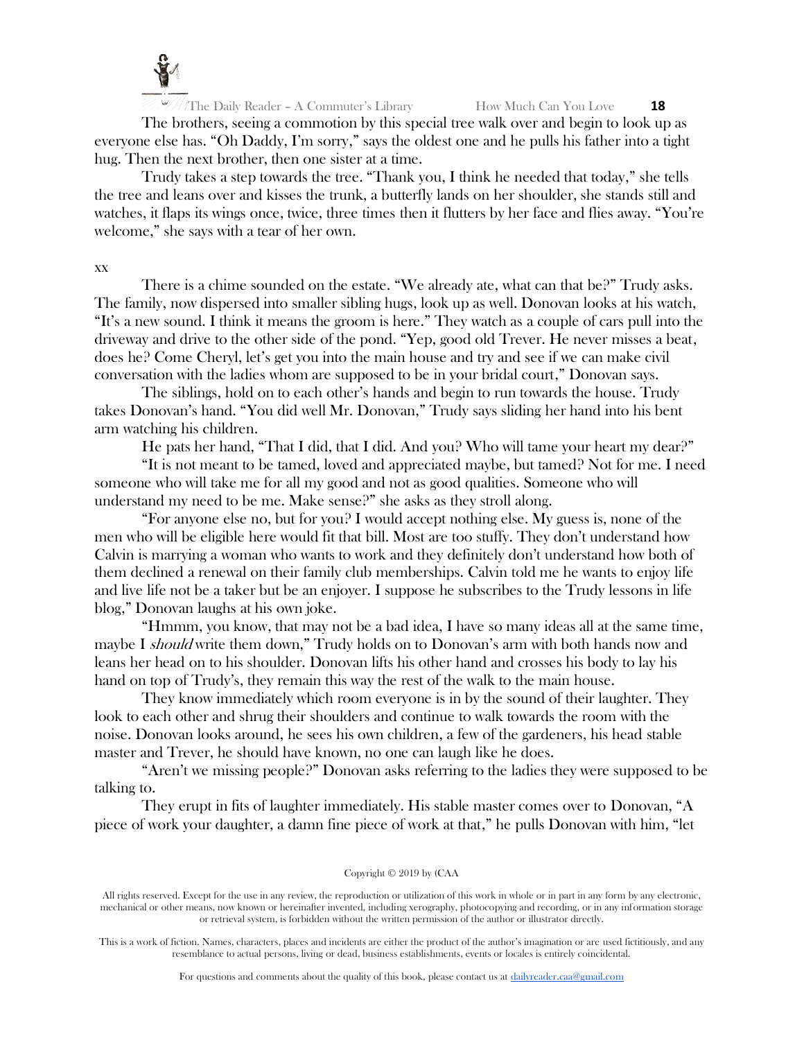

The brothers, seeing a commotion by this special tree walk over and begin to look up as everyone else has. "Oh Daddy, I'm sorry," says the oldest one and he pulls his father into a tight hug. Then the next brother, then one sister at a time.

Trudy takes a step towards the tree. "Thank you, I think he needed that today," she tells the tree and leans over and kisses the trunk, a butterfly lands on her shoulder, she stands still and watches, it flaps its wings once, twice, three times then it flutters by her face and flies away. "You're welcome," she says with a tear of her own.

# xx

There is a chime sounded on the estate. "We already ate, what can that be?" Trudy asks. The family, now dispersed into smaller sibling hugs, look up as well. Donovan looks at his watch, "It's a new sound. I think it means the groom is here." They watch as a couple of cars pull into the driveway and drive to the other side of the pond. "Yep, good old Trever. He never misses a beat, does he? Come Cheryl, let's get you into the main house and try and see if we can make civil conversation with the ladies whom are supposed to be in your bridal court," Donovan says.

The siblings, hold on to each other's hands and begin to run towards the house. Trudy takes Donovan's hand. "You did well Mr. Donovan," Trudy says sliding her hand into his bent arm watching his children.

He pats her hand, "That I did, that I did. And you? Who will tame your heart my dear?"

"It is not meant to be tamed, loved and appreciated maybe, but tamed? Not for me. I need someone who will take me for all my good and not as good qualities. Someone who will understand my need to be me. Make sense?" she asks as they stroll along.

"For anyone else no, but for you? I would accept nothing else. My guess is, none of the men who will be eligible here would fit that bill. Most are too stuffy. They don't understand how Calvin is marrying a woman who wants to work and they definitely don't understand how both of them declined a renewal on their family club memberships. Calvin told me he wants to enjoy life and live life not be a taker but be an enjoyer. I suppose he subscribes to the Trudy lessons in life blog," Donovan laughs at his own joke.

"Hmmm, you know, that may not be a bad idea, I have so many ideas all at the same time, maybe I should write them down," Trudy holds on to Donovan's arm with both hands now and leans her head on to his shoulder. Donovan lifts his other hand and crosses his body to lay his hand on top of Trudy's, they remain this way the rest of the walk to the main house.

They know immediately which room everyone is in by the sound of their laughter. They look to each other and shrug their shoulders and continue to walk towards the room with the noise. Donovan looks around, he sees his own children, a few of the gardeners, his head stable master and Trever, he should have known, no one can laugh like he does.

"Aren't we missing people?" Donovan asks referring to the ladies they were supposed to be talking to.

They erupt in fits of laughter immediately. His stable master comes over to Donovan, "A piece of work your daughter, a damn fine piece of work at that," he pulls Donovan with him, "let

#### Copyright © 2019 by (CAA

All rights reserved. Except for the use in any review, the reproduction or utilization of this work in whole or in part in any form by any electronic, mechanical or other means, now known or hereinafter invented, including xerography, photocopying and recording, or in any information storage or retrieval system, is forbidden without the written permission of the author or illustrator directly.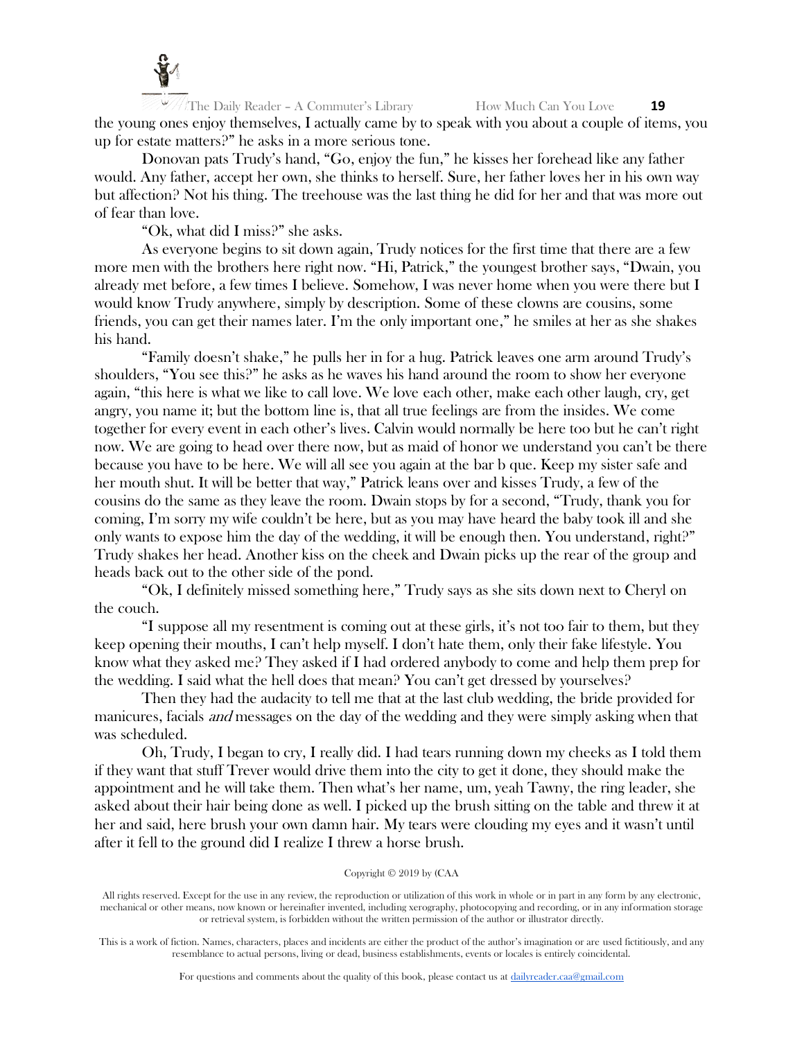

The Daily Reader – A Commuter's Library How Much Can You Love **19** the young ones enjoy themselves, I actually came by to speak with you about a couple of items, you up for estate matters?" he asks in a more serious tone.

Donovan pats Trudy's hand, "Go, enjoy the fun," he kisses her forehead like any father would. Any father, accept her own, she thinks to herself. Sure, her father loves her in his own way but affection? Not his thing. The treehouse was the last thing he did for her and that was more out of fear than love.

"Ok, what did I miss?" she asks.

As everyone begins to sit down again, Trudy notices for the first time that there are a few more men with the brothers here right now. "Hi, Patrick," the youngest brother says, "Dwain, you already met before, a few times I believe. Somehow, I was never home when you were there but I would know Trudy anywhere, simply by description. Some of these clowns are cousins, some friends, you can get their names later. I'm the only important one," he smiles at her as she shakes his hand.

"Family doesn't shake," he pulls her in for a hug. Patrick leaves one arm around Trudy's shoulders, "You see this?" he asks as he waves his hand around the room to show her everyone again, "this here is what we like to call love. We love each other, make each other laugh, cry, get angry, you name it; but the bottom line is, that all true feelings are from the insides. We come together for every event in each other's lives. Calvin would normally be here too but he can't right now. We are going to head over there now, but as maid of honor we understand you can't be there because you have to be here. We will all see you again at the bar b que. Keep my sister safe and her mouth shut. It will be better that way," Patrick leans over and kisses Trudy, a few of the cousins do the same as they leave the room. Dwain stops by for a second, "Trudy, thank you for coming, I'm sorry my wife couldn't be here, but as you may have heard the baby took ill and she only wants to expose him the day of the wedding, it will be enough then. You understand, right?" Trudy shakes her head. Another kiss on the cheek and Dwain picks up the rear of the group and heads back out to the other side of the pond.

"Ok, I definitely missed something here," Trudy says as she sits down next to Cheryl on the couch.

"I suppose all my resentment is coming out at these girls, it's not too fair to them, but they keep opening their mouths, I can't help myself. I don't hate them, only their fake lifestyle. You know what they asked me? They asked if I had ordered anybody to come and help them prep for the wedding. I said what the hell does that mean? You can't get dressed by yourselves?

Then they had the audacity to tell me that at the last club wedding, the bride provided for manicures, facials and messages on the day of the wedding and they were simply asking when that was scheduled.

Oh, Trudy, I began to cry, I really did. I had tears running down my cheeks as I told them if they want that stuff Trever would drive them into the city to get it done, they should make the appointment and he will take them. Then what's her name, um, yeah Tawny, the ring leader, she asked about their hair being done as well. I picked up the brush sitting on the table and threw it at her and said, here brush your own damn hair. My tears were clouding my eyes and it wasn't until after it fell to the ground did I realize I threw a horse brush.

#### Copyright © 2019 by (CAA

All rights reserved. Except for the use in any review, the reproduction or utilization of this work in whole or in part in any form by any electronic, mechanical or other means, now known or hereinafter invented, including xerography, photocopying and recording, or in any information storage or retrieval system, is forbidden without the written permission of the author or illustrator directly.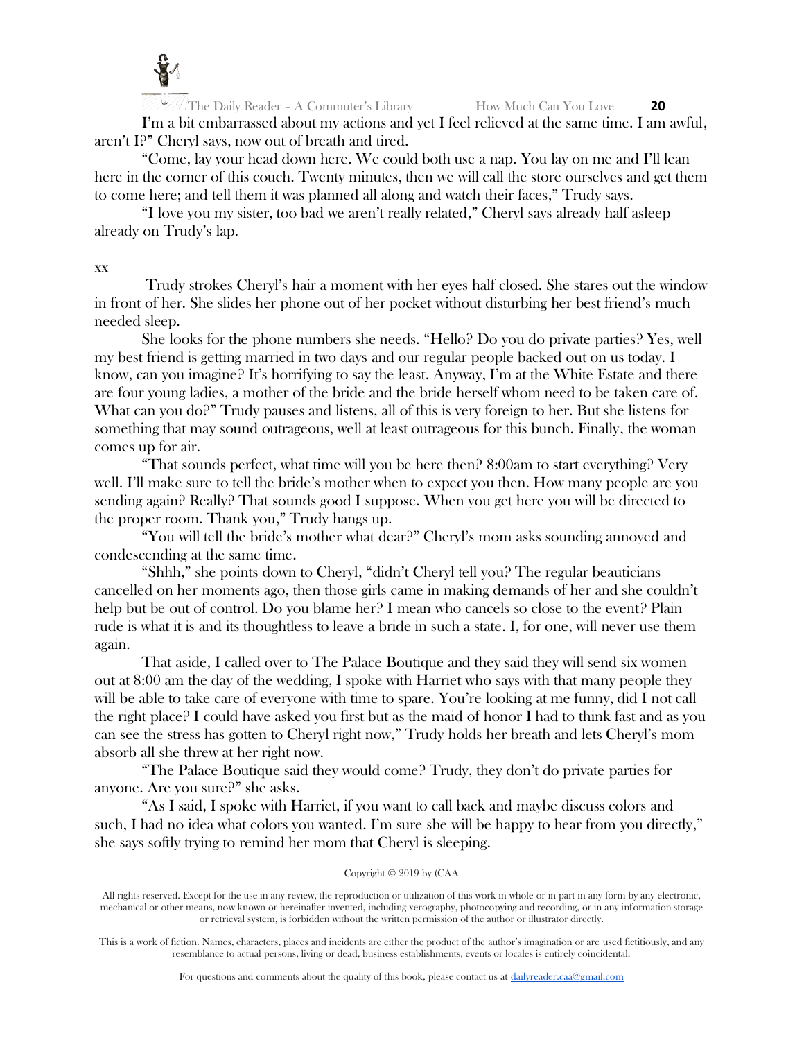

The Daily Reader – A Commuter's Library How Much Can You Love **20** I'm a bit embarrassed about my actions and yet I feel relieved at the same time. I am awful, aren't I?" Cheryl says, now out of breath and tired.

"Come, lay your head down here. We could both use a nap. You lay on me and I'll lean here in the corner of this couch. Twenty minutes, then we will call the store ourselves and get them to come here; and tell them it was planned all along and watch their faces," Trudy says.

"I love you my sister, too bad we aren't really related," Cheryl says already half asleep already on Trudy's lap.

xx

Trudy strokes Cheryl's hair a moment with her eyes half closed. She stares out the window in front of her. She slides her phone out of her pocket without disturbing her best friend's much needed sleep.

She looks for the phone numbers she needs. "Hello? Do you do private parties? Yes, well my best friend is getting married in two days and our regular people backed out on us today. I know, can you imagine? It's horrifying to say the least. Anyway, I'm at the White Estate and there are four young ladies, a mother of the bride and the bride herself whom need to be taken care of. What can you do?" Trudy pauses and listens, all of this is very foreign to her. But she listens for something that may sound outrageous, well at least outrageous for this bunch. Finally, the woman comes up for air.

"That sounds perfect, what time will you be here then?  $8:00$ am to start everything? Very well. I'll make sure to tell the bride's mother when to expect you then. How many people are you sending again? Really? That sounds good I suppose. When you get here you will be directed to the proper room. Thank you," Trudy hangs up.

"You will tell the bride's mother what dear?" Cheryl's mom asks sounding annoyed and condescending at the same time.

"Shhh," she points down to Cheryl, "didn't Cheryl tell you? The regular beauticians cancelled on her moments ago, then those girls came in making demands of her and she couldn't help but be out of control. Do you blame her? I mean who cancels so close to the event? Plain rude is what it is and its thoughtless to leave a bride in such a state. I, for one, will never use them again.

That aside, I called over to The Palace Boutique and they said they will send six women out at 8:00 am the day of the wedding, I spoke with Harriet who says with that many people they will be able to take care of everyone with time to spare. You're looking at me funny, did I not call the right place? I could have asked you first but as the maid of honor I had to think fast and as you can see the stress has gotten to Cheryl right now," Trudy holds her breath and lets Cheryl's mom absorb all she threw at her right now.

"The Palace Boutique said they would come? Trudy, they don't do private parties for anyone. Are you sure?" she asks.

"As I said, I spoke with Harriet, if you want to call back and maybe discuss colors and such, I had no idea what colors you wanted. I'm sure she will be happy to hear from you directly," she says softly trying to remind her mom that Cheryl is sleeping.

# Copyright © 2019 by (CAA

All rights reserved. Except for the use in any review, the reproduction or utilization of this work in whole or in part in any form by any electronic, mechanical or other means, now known or hereinafter invented, including xerography, photocopying and recording, or in any information storage or retrieval system, is forbidden without the written permission of the author or illustrator directly.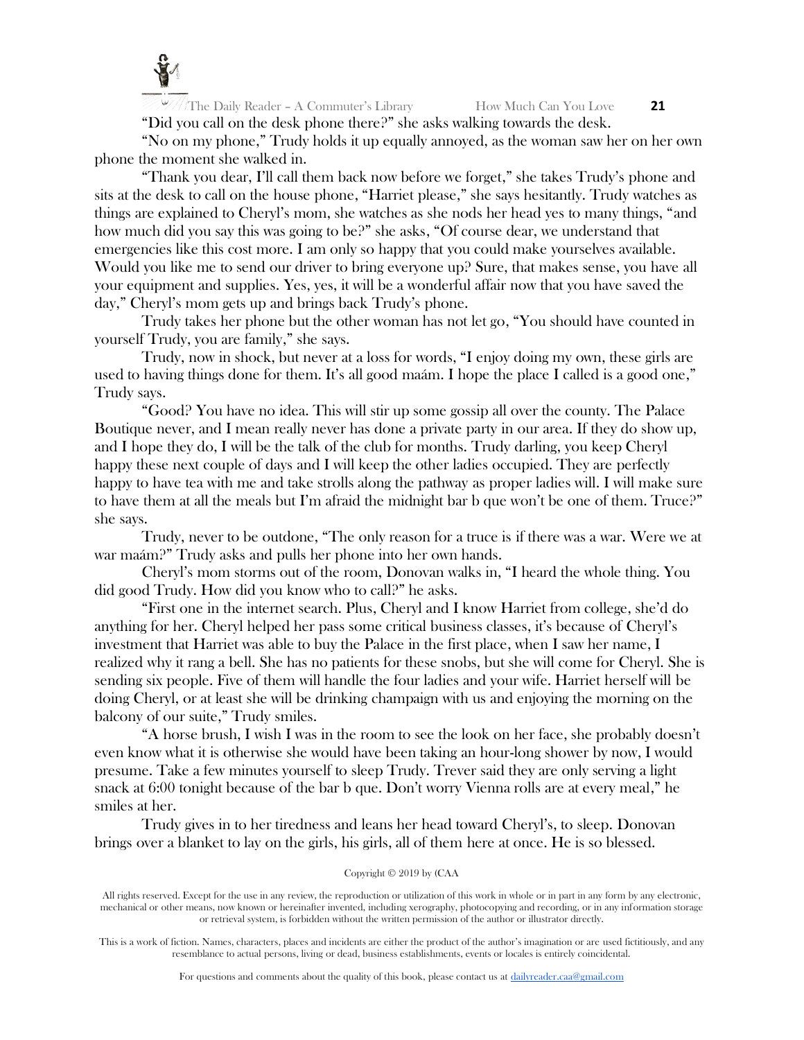

"Did you call on the desk phone there?" she asks walking towards the desk. "No on my phone," Trudy holds it up equally annoyed, as the woman saw her on her own

phone the moment she walked in.

"Thank you dear, I'll call them back now before we forget," she takes Trudy's phone and sits at the desk to call on the house phone, "Harriet please," she says hesitantly. Trudy watches as things are explained to Cheryl's mom, she watches as she nods her head yes to many things, "and how much did you say this was going to be?" she asks, "Of course dear, we understand that emergencies like this cost more. I am only so happy that you could make yourselves available. Would you like me to send our driver to bring everyone up? Sure, that makes sense, you have all your equipment and supplies. Yes, yes, it will be a wonderful affair now that you have saved the day," Cheryl's mom gets up and brings back Trudy's phone.

Trudy takes her phone but the other woman has not let go, "You should have counted in yourself Trudy, you are family," she says.

Trudy, now in shock, but never at a loss for words, "I enjoy doing my own, these girls are used to having things done for them. It's all good maám. I hope the place I called is a good one," Trudy says.

"Good? You have no idea. This will stir up some gossip all over the county. The Palace Boutique never, and I mean really never has done a private party in our area. If they do show up, and I hope they do, I will be the talk of the club for months. Trudy darling, you keep Cheryl happy these next couple of days and I will keep the other ladies occupied. They are perfectly happy to have tea with me and take strolls along the pathway as proper ladies will. I will make sure to have them at all the meals but I'm afraid the midnight bar b que won't be one of them. Truce?" she says.

Trudy, never to be outdone, "The only reason for a truce is if there was a war. Were we at war maám?" Trudy asks and pulls her phone into her own hands.

Cheryl's mom storms out of the room, Donovan walks in, "I heard the whole thing. You did good Trudy. How did you know who to call?" he asks.

"First one in the internet search. Plus, Cheryl and I know Harriet from college, she'd do anything for her. Cheryl helped her pass some critical business classes, it's because of Cheryl's investment that Harriet was able to buy the Palace in the first place, when I saw her name, I realized why it rang a bell. She has no patients for these snobs, but she will come for Cheryl. She is sending six people. Five of them will handle the four ladies and your wife. Harriet herself will be doing Cheryl, or at least she will be drinking champaign with us and enjoying the morning on the balcony of our suite," Trudy smiles.

"A horse brush, I wish I was in the room to see the look on her face, she probably doesn't even know what it is otherwise she would have been taking an hour-long shower by now, I would presume. Take a few minutes yourself to sleep Trudy. Trever said they are only serving a light snack at 6:00 tonight because of the bar b que. Don't worry Vienna rolls are at every meal," he smiles at her.

Trudy gives in to her tiredness and leans her head toward Cheryl's, to sleep. Donovan brings over a blanket to lay on the girls, his girls, all of them here at once. He is so blessed.

## Copyright © 2019 by (CAA

All rights reserved. Except for the use in any review, the reproduction or utilization of this work in whole or in part in any form by any electronic, mechanical or other means, now known or hereinafter invented, including xerography, photocopying and recording, or in any information storage or retrieval system, is forbidden without the written permission of the author or illustrator directly.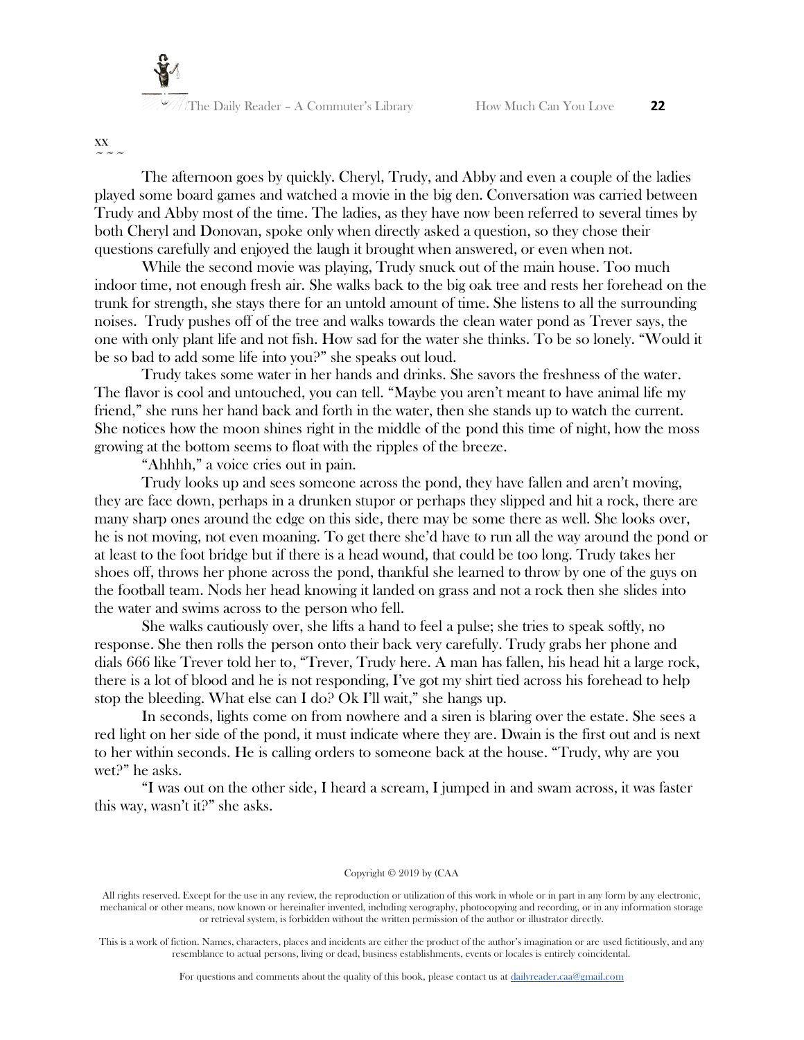

xx  $\sim$   $\sim$   $\sim$ 

The afternoon goes by quickly. Cheryl, Trudy, and Abby and even a couple of the ladies played some board games and watched a movie in the big den. Conversation was carried between Trudy and Abby most of the time. The ladies, as they have now been referred to several times by both Cheryl and Donovan, spoke only when directly asked a question, so they chose their questions carefully and enjoyed the laugh it brought when answered, or even when not.

While the second movie was playing, Trudy snuck out of the main house. Too much indoor time, not enough fresh air. She walks back to the big oak tree and rests her forehead on the trunk for strength, she stays there for an untold amount of time. She listens to all the surrounding noises. Trudy pushes off of the tree and walks towards the clean water pond as Trever says, the one with only plant life and not fish. How sad for the water she thinks. To be so lonely. "Would it be so bad to add some life into you?" she speaks out loud.

Trudy takes some water in her hands and drinks. She savors the freshness of the water. The flavor is cool and untouched, you can tell. "Maybe you aren't meant to have animal life my friend," she runs her hand back and forth in the water, then she stands up to watch the current. She notices how the moon shines right in the middle of the pond this time of night, how the moss growing at the bottom seems to float with the ripples of the breeze.

"Ahhhh," a voice cries out in pain.

Trudy looks up and sees someone across the pond, they have fallen and aren't moving, they are face down, perhaps in a drunken stupor or perhaps they slipped and hit a rock, there are many sharp ones around the edge on this side, there may be some there as well. She looks over, he is not moving, not even moaning. To get there she'd have to run all the way around the pond or at least to the foot bridge but if there is a head wound, that could be too long. Trudy takes her shoes off, throws her phone across the pond, thankful she learned to throw by one of the guys on the football team. Nods her head knowing it landed on grass and not a rock then she slides into the water and swims across to the person who fell.

She walks cautiously over, she lifts a hand to feel a pulse; she tries to speak softly, no response. She then rolls the person onto their back very carefully. Trudy grabs her phone and dials 666 like Trever told her to, "Trever, Trudy here. A man has fallen, his head hit a large rock, there is a lot of blood and he is not responding, I've got my shirt tied across his forehead to help stop the bleeding. What else can I do? Ok I'll wait," she hangs up.

In seconds, lights come on from nowhere and a siren is blaring over the estate. She sees a red light on her side of the pond, it must indicate where they are. Dwain is the first out and is next to her within seconds. He is calling orders to someone back at the house. "Trudy, why are you wet?" he asks.

"I was out on the other side, I heard a scream, I jumped in and swam across, it was faster this way, wasn't it?" she asks.

#### Copyright © 2019 by (CAA

All rights reserved. Except for the use in any review, the reproduction or utilization of this work in whole or in part in any form by any electronic, mechanical or other means, now known or hereinafter invented, including xerography, photocopying and recording, or in any information storage or retrieval system, is forbidden without the written permission of the author or illustrator directly.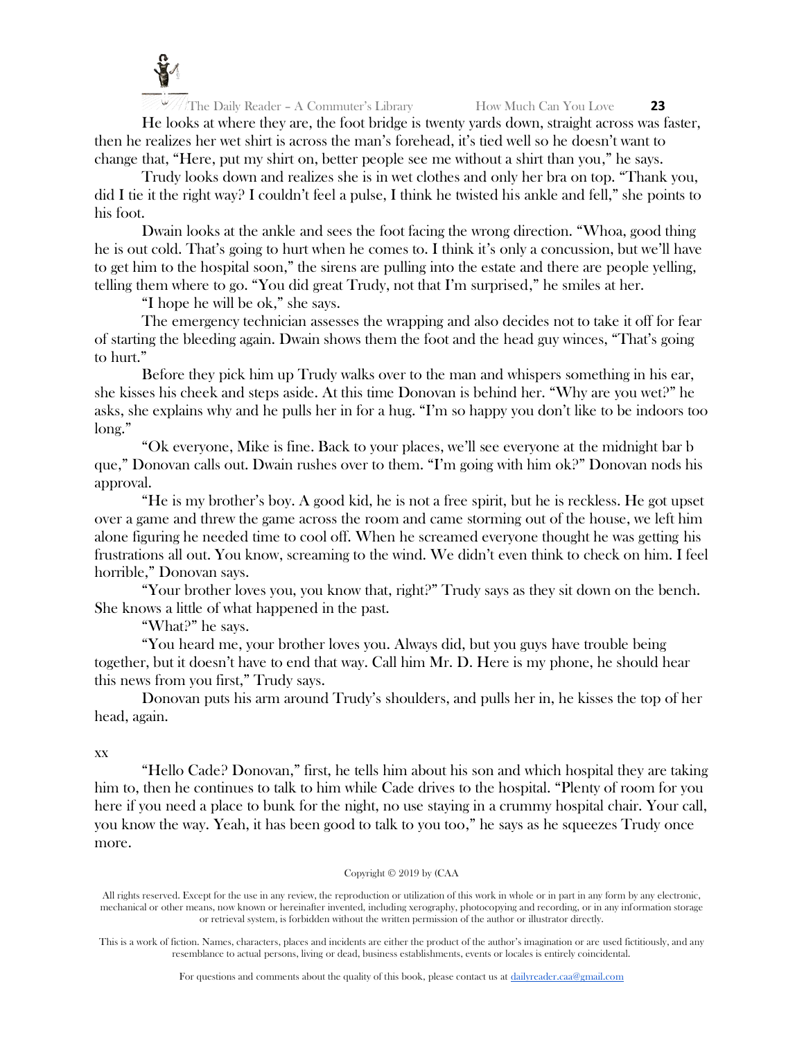

He looks at where they are, the foot bridge is twenty yards down, straight across was faster, then he realizes her wet shirt is across the man's forehead, it's tied well so he doesn't want to change that, "Here, put my shirt on, better people see me without a shirt than you," he says.

Trudy looks down and realizes she is in wet clothes and only her bra on top. "Thank you, did I tie it the right way? I couldn't feel a pulse, I think he twisted his ankle and fell," she points to his foot.

Dwain looks at the ankle and sees the foot facing the wrong direction. "Whoa, good thing he is out cold. That's going to hurt when he comes to. I think it's only a concussion, but we'll have to get him to the hospital soon," the sirens are pulling into the estate and there are people yelling, telling them where to go. "You did great Trudy, not that I'm surprised," he smiles at her.

"I hope he will be ok," she says.

The emergency technician assesses the wrapping and also decides not to take it off for fear of starting the bleeding again. Dwain shows them the foot and the head guy winces, "That's going to hurt."

Before they pick him up Trudy walks over to the man and whispers something in his ear, she kisses his cheek and steps aside. At this time Donovan is behind her. "Why are you wet?" he asks, she explains why and he pulls her in for a hug. "I'm so happy you don't like to be indoors too long."

"Ok everyone, Mike is fine. Back to your places, we'll see everyone at the midnight bar b que," Donovan calls out. Dwain rushes over to them. "I'm going with him ok?" Donovan nods his approval.

"He is my brother's boy. A good kid, he is not a free spirit, but he is reckless. He got upset over a game and threw the game across the room and came storming out of the house, we left him alone figuring he needed time to cool off. When he screamed everyone thought he was getting his frustrations all out. You know, screaming to the wind. We didn't even think to check on him. I feel horrible," Donovan says.

"Your brother loves you, you know that, right?" Trudy says as they sit down on the bench. She knows a little of what happened in the past.

"What?" he says.

"You heard me, your brother loves you. Always did, but you guys have trouble being together, but it doesn't have to end that way. Call him Mr. D. Here is my phone, he should hear this news from you first," Trudy says.

Donovan puts his arm around Trudy's shoulders, and pulls her in, he kisses the top of her head, again.

xx

"Hello Cade? Donovan," first, he tells him about his son and which hospital they are taking him to, then he continues to talk to him while Cade drives to the hospital. "Plenty of room for you here if you need a place to bunk for the night, no use staying in a crummy hospital chair. Your call, you know the way. Yeah, it has been good to talk to you too," he says as he squeezes Trudy once more.

#### Copyright © 2019 by (CAA

All rights reserved. Except for the use in any review, the reproduction or utilization of this work in whole or in part in any form by any electronic, mechanical or other means, now known or hereinafter invented, including xerography, photocopying and recording, or in any information storage or retrieval system, is forbidden without the written permission of the author or illustrator directly.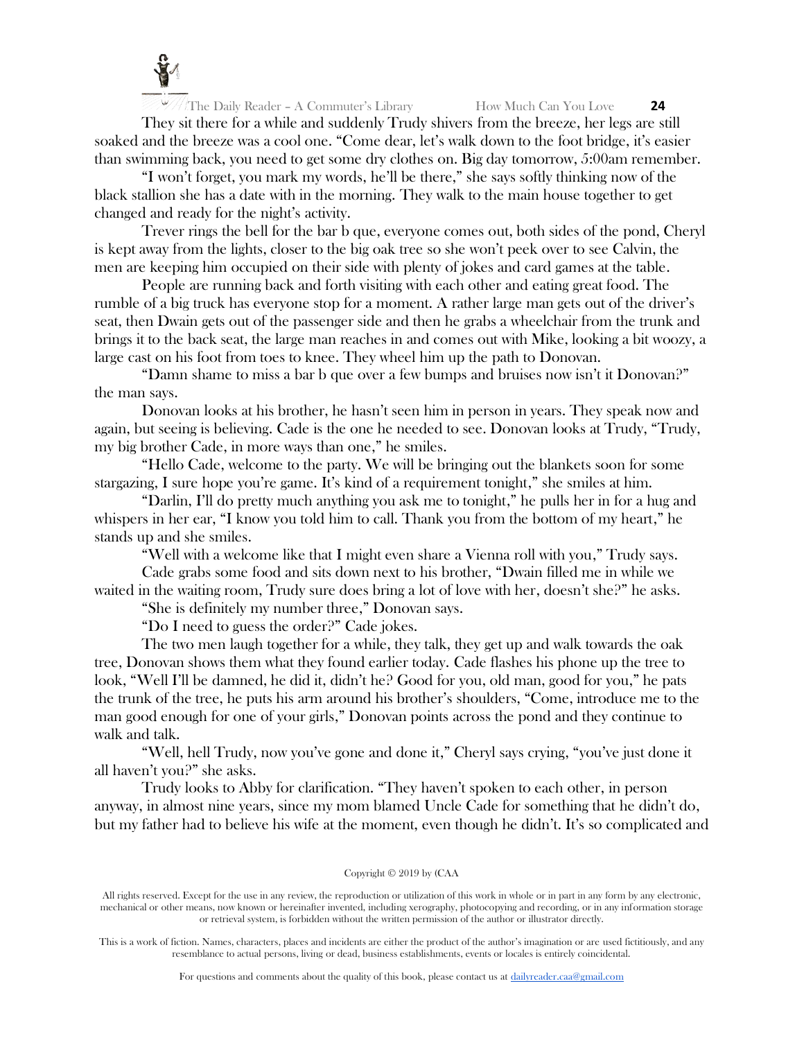

They sit there for a while and suddenly Trudy shivers from the breeze, her legs are still soaked and the breeze was a cool one. "Come dear, let's walk down to the foot bridge, it's easier than swimming back, you need to get some dry clothes on. Big day tomorrow, 5:00am remember.

"I won't forget, you mark my words, he'll be there," she says softly thinking now of the black stallion she has a date with in the morning. They walk to the main house together to get changed and ready for the night's activity.

Trever rings the bell for the bar b que, everyone comes out, both sides of the pond, Cheryl is kept away from the lights, closer to the big oak tree so she won't peek over to see Calvin, the men are keeping him occupied on their side with plenty of jokes and card games at the table.

People are running back and forth visiting with each other and eating great food. The rumble of a big truck has everyone stop for a moment. A rather large man gets out of the driver's seat, then Dwain gets out of the passenger side and then he grabs a wheelchair from the trunk and brings it to the back seat, the large man reaches in and comes out with Mike, looking a bit woozy, a large cast on his foot from toes to knee. They wheel him up the path to Donovan.

"Damn shame to miss a bar b que over a few bumps and bruises now isn't it Donovan?" the man says.

Donovan looks at his brother, he hasn't seen him in person in years. They speak now and again, but seeing is believing. Cade is the one he needed to see. Donovan looks at Trudy, "Trudy, my big brother Cade, in more ways than one," he smiles.

"Hello Cade, welcome to the party. We will be bringing out the blankets soon for some stargazing, I sure hope you're game. It's kind of a requirement tonight," she smiles at him.

"Darlin, I'll do pretty much anything you ask me to tonight," he pulls her in for a hug and whispers in her ear, "I know you told him to call. Thank you from the bottom of my heart," he stands up and she smiles.

"Well with a welcome like that I might even share a Vienna roll with you," Trudy says.

Cade grabs some food and sits down next to his brother, "Dwain filled me in while we waited in the waiting room, Trudy sure does bring a lot of love with her, doesn't she?" he asks.

"She is definitely my number three," Donovan says.

"Do I need to guess the order?" Cade jokes.

The two men laugh together for a while, they talk, they get up and walk towards the oak tree, Donovan shows them what they found earlier today. Cade flashes his phone up the tree to look, "Well I'll be damned, he did it, didn't he? Good for you, old man, good for you," he pats the trunk of the tree, he puts his arm around his brother's shoulders, "Come, introduce me to the man good enough for one of your girls," Donovan points across the pond and they continue to walk and talk.

"Well, hell Trudy, now you've gone and done it," Cheryl says crying, "you've just done it all haven't you?" she asks.

Trudy looks to Abby for clarification. "They haven't spoken to each other, in person anyway, in almost nine years, since my mom blamed Uncle Cade for something that he didn't do, but my father had to believe his wife at the moment, even though he didn't. It's so complicated and

#### Copyright © 2019 by (CAA

All rights reserved. Except for the use in any review, the reproduction or utilization of this work in whole or in part in any form by any electronic, mechanical or other means, now known or hereinafter invented, including xerography, photocopying and recording, or in any information storage or retrieval system, is forbidden without the written permission of the author or illustrator directly.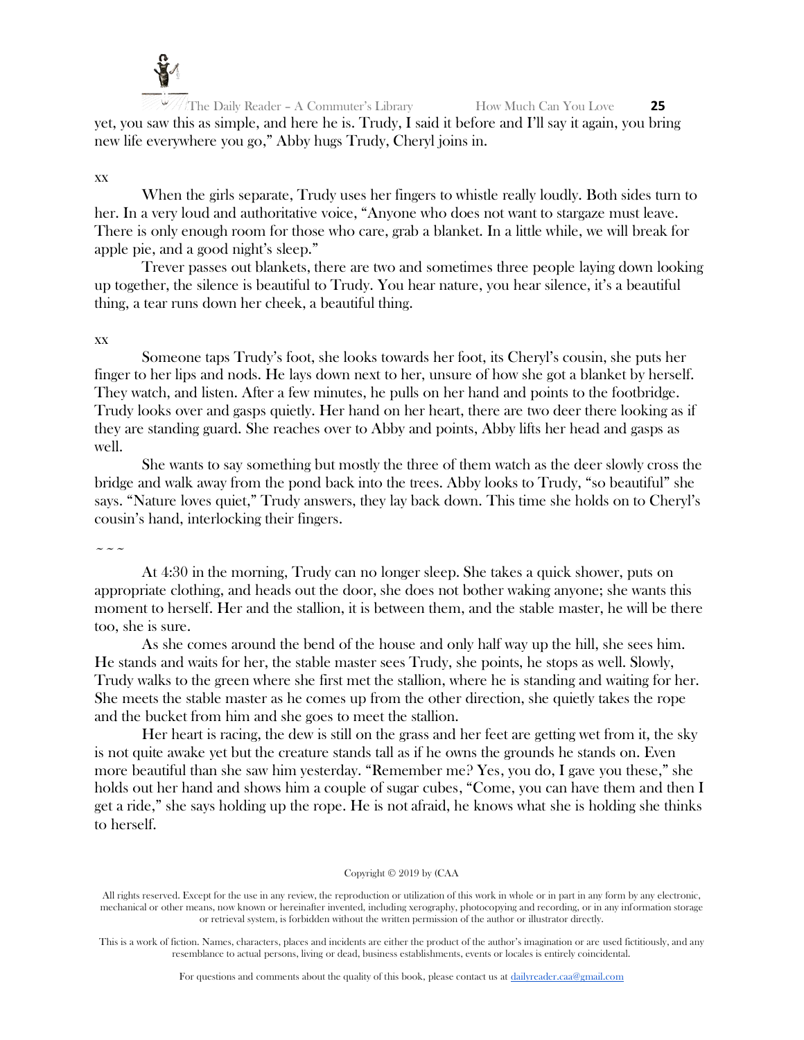

The Daily Reader – A Commuter's Library How Much Can You Love **25** yet, you saw this as simple, and here he is. Trudy, I said it before and I'll say it again, you bring new life everywhere you go," Abby hugs Trudy, Cheryl joins in.

# xx

When the girls separate, Trudy uses her fingers to whistle really loudly. Both sides turn to her. In a very loud and authoritative voice, "Anyone who does not want to stargaze must leave. There is only enough room for those who care, grab a blanket. In a little while, we will break for apple pie, and a good night's sleep."

Trever passes out blankets, there are two and sometimes three people laying down looking up together, the silence is beautiful to Trudy. You hear nature, you hear silence, it's a beautiful thing, a tear runs down her cheek, a beautiful thing.

# xx

Someone taps Trudy's foot, she looks towards her foot, its Cheryl's cousin, she puts her finger to her lips and nods. He lays down next to her, unsure of how she got a blanket by herself. They watch, and listen. After a few minutes, he pulls on her hand and points to the footbridge. Trudy looks over and gasps quietly. Her hand on her heart, there are two deer there looking as if they are standing guard. She reaches over to Abby and points, Abby lifts her head and gasps as well.

She wants to say something but mostly the three of them watch as the deer slowly cross the bridge and walk away from the pond back into the trees. Abby looks to Trudy, "so beautiful" she says. "Nature loves quiet," Trudy answers, they lay back down. This time she holds on to Cheryl's cousin's hand, interlocking their fingers.

 $\sim$   $\sim$   $\sim$ 

At 4:30 in the morning, Trudy can no longer sleep. She takes a quick shower, puts on appropriate clothing, and heads out the door, she does not bother waking anyone; she wants this moment to herself. Her and the stallion, it is between them, and the stable master, he will be there too, she is sure.

As she comes around the bend of the house and only half way up the hill, she sees him. He stands and waits for her, the stable master sees Trudy, she points, he stops as well. Slowly, Trudy walks to the green where she first met the stallion, where he is standing and waiting for her. She meets the stable master as he comes up from the other direction, she quietly takes the rope and the bucket from him and she goes to meet the stallion.

Her heart is racing, the dew is still on the grass and her feet are getting wet from it, the sky is not quite awake yet but the creature stands tall as if he owns the grounds he stands on. Even more beautiful than she saw him yesterday. "Remember me? Yes, you do, I gave you these," she holds out her hand and shows him a couple of sugar cubes, "Come, you can have them and then I get a ride," she says holding up the rope. He is not afraid, he knows what she is holding she thinks to herself.

#### Copyright © 2019 by (CAA

All rights reserved. Except for the use in any review, the reproduction or utilization of this work in whole or in part in any form by any electronic, mechanical or other means, now known or hereinafter invented, including xerography, photocopying and recording, or in any information storage or retrieval system, is forbidden without the written permission of the author or illustrator directly.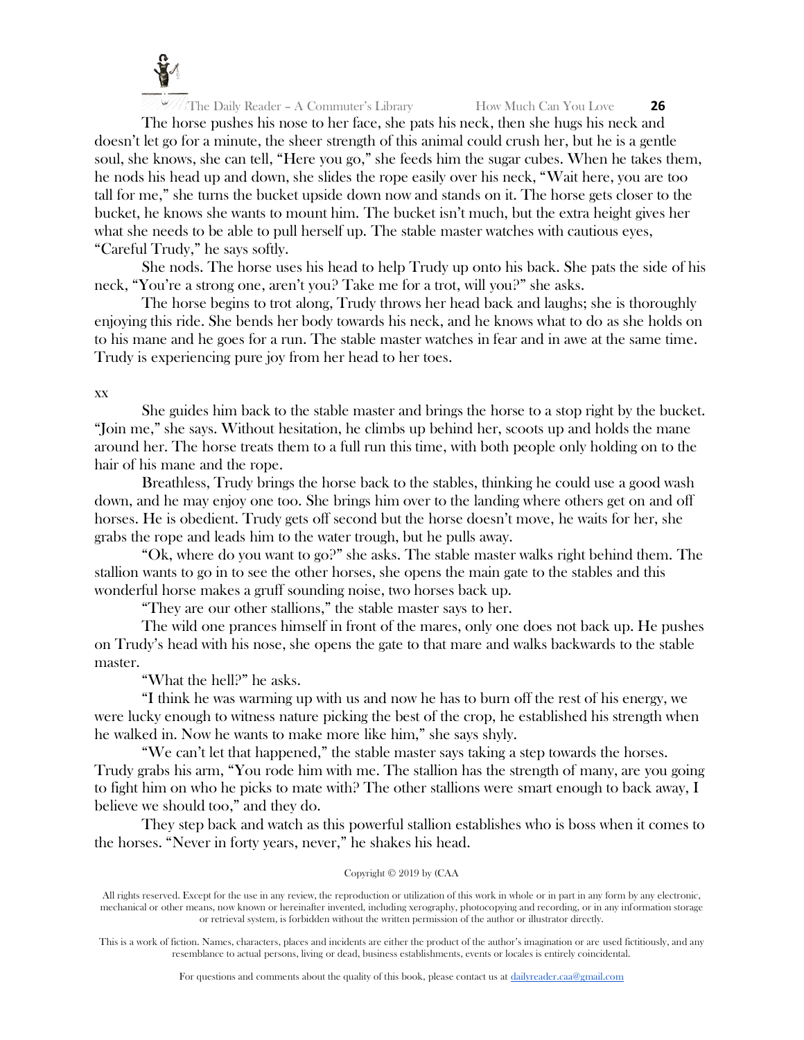

The horse pushes his nose to her face, she pats his neck, then she hugs his neck and doesn't let go for a minute, the sheer strength of this animal could crush her, but he is a gentle soul, she knows, she can tell, "Here you go," she feeds him the sugar cubes. When he takes them, he nods his head up and down, she slides the rope easily over his neck, "Wait here, you are too tall for me," she turns the bucket upside down now and stands on it. The horse gets closer to the bucket, he knows she wants to mount him. The bucket isn't much, but the extra height gives her what she needs to be able to pull herself up. The stable master watches with cautious eyes, "Careful Trudy," he says softly.

She nods. The horse uses his head to help Trudy up onto his back. She pats the side of his neck, "You're a strong one, aren't you? Take me for a trot, will you?" she asks.

The horse begins to trot along, Trudy throws her head back and laughs; she is thoroughly enjoying this ride. She bends her body towards his neck, and he knows what to do as she holds on to his mane and he goes for a run. The stable master watches in fear and in awe at the same time. Trudy is experiencing pure joy from her head to her toes.

# xx

She guides him back to the stable master and brings the horse to a stop right by the bucket. "Join me," she says. Without hesitation, he climbs up behind her, scoots up and holds the mane around her. The horse treats them to a full run this time, with both people only holding on to the hair of his mane and the rope.

Breathless, Trudy brings the horse back to the stables, thinking he could use a good wash down, and he may enjoy one too. She brings him over to the landing where others get on and off horses. He is obedient. Trudy gets off second but the horse doesn't move, he waits for her, she grabs the rope and leads him to the water trough, but he pulls away.

"Ok, where do you want to go?" she asks. The stable master walks right behind them. The stallion wants to go in to see the other horses, she opens the main gate to the stables and this wonderful horse makes a gruff sounding noise, two horses back up.

"They are our other stallions," the stable master says to her.

The wild one prances himself in front of the mares, only one does not back up. He pushes on Trudy's head with his nose, she opens the gate to that mare and walks backwards to the stable master.

"What the hell?" he asks.

"I think he was warming up with us and now he has to burn off the rest of his energy, we were lucky enough to witness nature picking the best of the crop, he established his strength when he walked in. Now he wants to make more like him," she says shyly.

"We can't let that happened," the stable master says taking a step towards the horses. Trudy grabs his arm, "You rode him with me. The stallion has the strength of many, are you going to fight him on who he picks to mate with? The other stallions were smart enough to back away, I believe we should too," and they do.

They step back and watch as this powerful stallion establishes who is boss when it comes to the horses. "Never in forty years, never," he shakes his head.

#### Copyright © 2019 by (CAA

All rights reserved. Except for the use in any review, the reproduction or utilization of this work in whole or in part in any form by any electronic, mechanical or other means, now known or hereinafter invented, including xerography, photocopying and recording, or in any information storage or retrieval system, is forbidden without the written permission of the author or illustrator directly.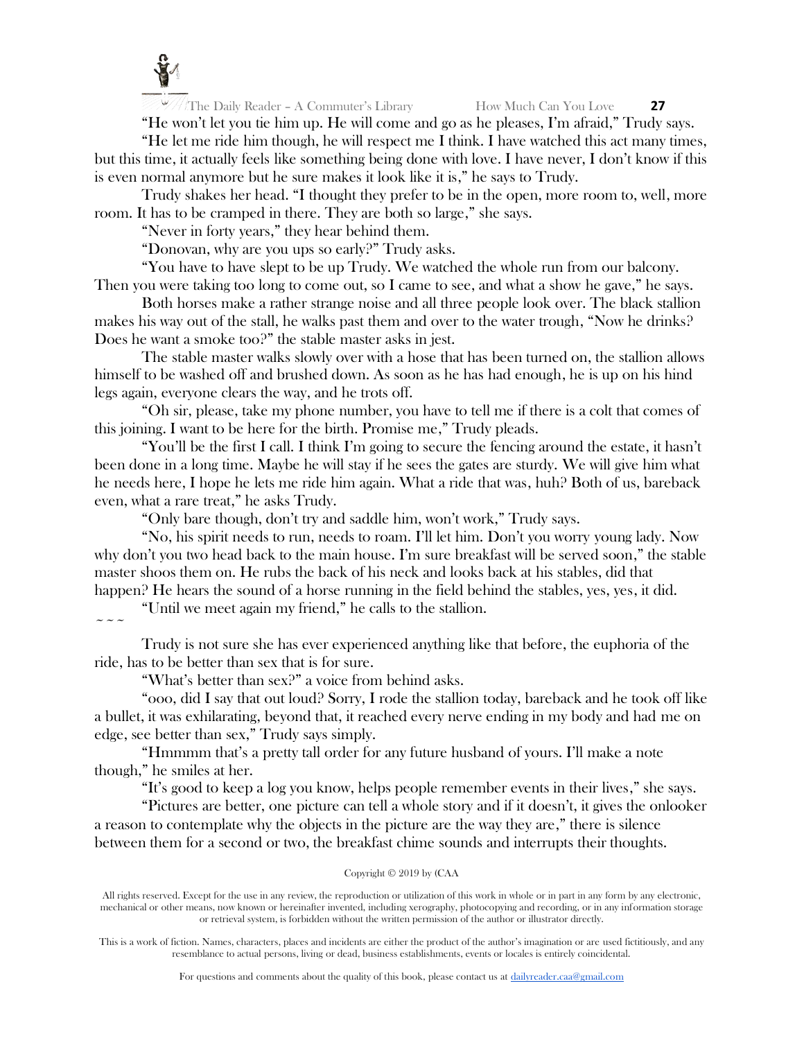

"He won't let you tie him up. He will come and go as he pleases, I'm afraid," Trudy says. "He let me ride him though, he will respect me I think. I have watched this act many times,

but this time, it actually feels like something being done with love. I have never, I don't know if this is even normal anymore but he sure makes it look like it is," he says to Trudy.

Trudy shakes her head. "I thought they prefer to be in the open, more room to, well, more room. It has to be cramped in there. They are both so large," she says.

"Never in forty years," they hear behind them.

"Donovan, why are you ups so early?" Trudy asks.

"You have to have slept to be up Trudy. We watched the whole run from our balcony. Then you were taking too long to come out, so I came to see, and what a show he gave," he says.

Both horses make a rather strange noise and all three people look over. The black stallion makes his way out of the stall, he walks past them and over to the water trough, "Now he drinks?" Does he want a smoke too?" the stable master asks in jest.

The stable master walks slowly over with a hose that has been turned on, the stallion allows himself to be washed off and brushed down. As soon as he has had enough, he is up on his hind legs again, everyone clears the way, and he trots off.

"Oh sir, please, take my phone number, you have to tell me if there is a colt that comes of this joining. I want to be here for the birth. Promise me," Trudy pleads.

"You'll be the first I call. I think I'm going to secure the fencing around the estate, it hasn't been done in a long time. Maybe he will stay if he sees the gates are sturdy. We will give him what he needs here, I hope he lets me ride him again. What a ride that was, huh? Both of us, bareback even, what a rare treat," he asks Trudy.

"Only bare though, don't try and saddle him, won't work," Trudy says.

"No, his spirit needs to run, needs to roam. I'll let him. Don't you worry young lady. Now why don't you two head back to the main house. I'm sure breakfast will be served soon," the stable master shoos them on. He rubs the back of his neck and looks back at his stables, did that happen? He hears the sound of a horse running in the field behind the stables, yes, yes, it did.

"Until we meet again my friend," he calls to the stallion.

 $\sim$   $\sim$   $\sim$ 

Trudy is not sure she has ever experienced anything like that before, the euphoria of the ride, has to be better than sex that is for sure.

"What's better than sex?" a voice from behind asks.

"ooo, did I say that out loud? Sorry, I rode the stallion today, bareback and he took off like a bullet, it was exhilarating, beyond that, it reached every nerve ending in my body and had me on edge, see better than sex," Trudy says simply.

"Hmmmm that's a pretty tall order for any future husband of yours. I'll make a note though," he smiles at her.

"It's good to keep a log you know, helps people remember events in their lives," she says.

"Pictures are better, one picture can tell a whole story and if it doesn't, it gives the onlooker a reason to contemplate why the objects in the picture are the way they are," there is silence between them for a second or two, the breakfast chime sounds and interrupts their thoughts.

## Copyright © 2019 by (CAA

All rights reserved. Except for the use in any review, the reproduction or utilization of this work in whole or in part in any form by any electronic, mechanical or other means, now known or hereinafter invented, including xerography, photocopying and recording, or in any information storage or retrieval system, is forbidden without the written permission of the author or illustrator directly.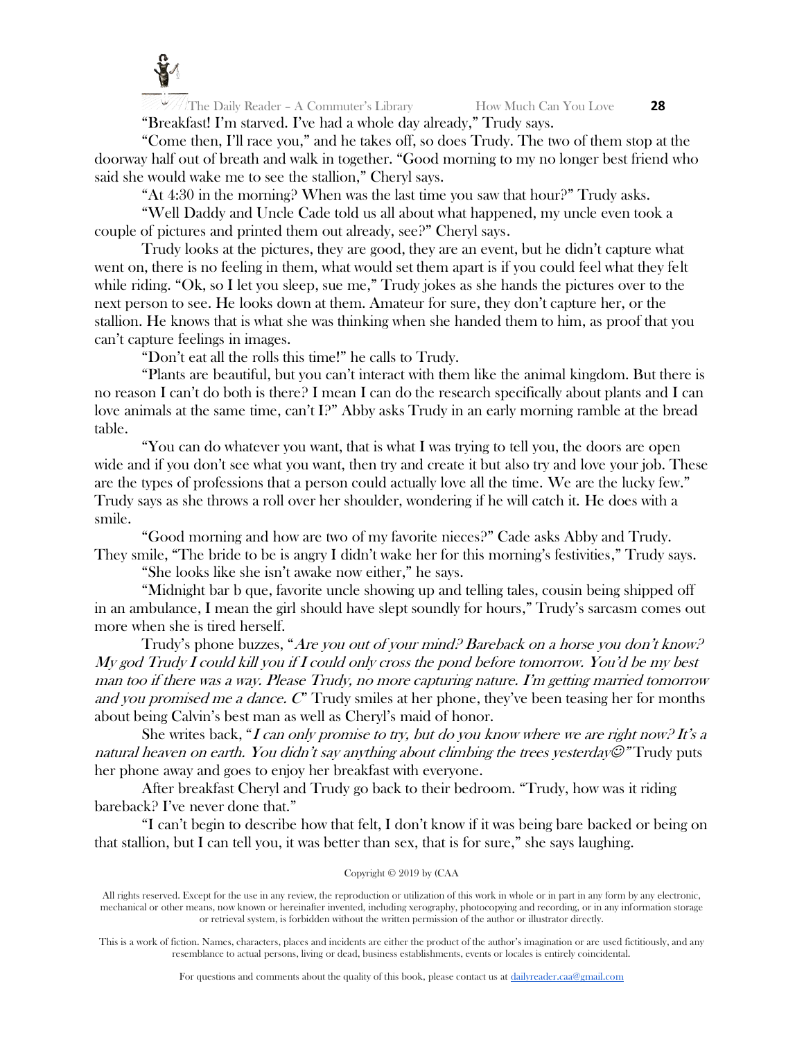

The Daily Reader – A Commuter's Library How Much Can You Love **28** "Breakfast! I'm starved. I've had a whole day already," Trudy says.

"Come then, I'll race you," and he takes off, so does Trudy. The two of them stop at the doorway half out of breath and walk in together. "Good morning to my no longer best friend who said she would wake me to see the stallion," Cheryl says.

"At 4:30 in the morning? When was the last time you saw that hour?" Trudy asks.

"Well Daddy and Uncle Cade told us all about what happened, my uncle even took a couple of pictures and printed them out already, see?" Cheryl says.

Trudy looks at the pictures, they are good, they are an event, but he didn't capture what went on, there is no feeling in them, what would set them apart is if you could feel what they felt while riding. "Ok, so I let you sleep, sue me," Trudy jokes as she hands the pictures over to the next person to see. He looks down at them. Amateur for sure, they don't capture her, or the stallion. He knows that is what she was thinking when she handed them to him, as proof that you can't capture feelings in images.

"Don't eat all the rolls this time!" he calls to Trudy.

"Plants are beautiful, but you can't interact with them like the animal kingdom. But there is no reason I can't do both is there? I mean I can do the research specifically about plants and I can love animals at the same time, can't I?" Abby asks Trudy in an early morning ramble at the bread table.

"You can do whatever you want, that is what I was trying to tell you, the doors are open wide and if you don't see what you want, then try and create it but also try and love your job. These are the types of professions that a person could actually love all the time. We are the lucky few." Trudy says as she throws a roll over her shoulder, wondering if he will catch it. He does with a smile.

"Good morning and how are two of my favorite nieces?" Cade asks Abby and Trudy. They smile, "The bride to be is angry I didn't wake her for this morning's festivities," Trudy says.

"She looks like she isn't awake now either," he says.

"Midnight bar b que, favorite uncle showing up and telling tales, cousin being shipped off in an ambulance, I mean the girl should have slept soundly for hours," Trudy's sarcasm comes out more when she is tired herself.

Trudy's phone buzzes, "Are you out of your mind? Bareback on a horse you don't know? My god Trudy I could kill you if I could only cross the pond before tomorrow. You'd be my best man too if there was a way. Please Trudy, no more capturing nature. I'm getting married tomorrow and you promised me a dance.  $C^{\prime}$  Trudy smiles at her phone, they've been teasing her for months about being Calvin's best man as well as Cheryl's maid of honor.

She writes back, "I can only promise to try, but do you know where we are right now? It's a natural heaven on earth. You didn't say anything about climbing the trees yesterday $\mathcal{O}$ " Trudy puts her phone away and goes to enjoy her breakfast with everyone.

After breakfast Cheryl and Trudy go back to their bedroom. "Trudy, how was it riding bareback? I've never done that."

"I can't begin to describe how that felt, I don't know if it was being bare backed or being on that stallion, but I can tell you, it was better than sex, that is for sure," she says laughing.

## Copyright © 2019 by (CAA

All rights reserved. Except for the use in any review, the reproduction or utilization of this work in whole or in part in any form by any electronic, mechanical or other means, now known or hereinafter invented, including xerography, photocopying and recording, or in any information storage or retrieval system, is forbidden without the written permission of the author or illustrator directly.

This is a work of fiction. Names, characters, places and incidents are either the product of the author's imagination or are used fictitiously, and any resemblance to actual persons, living or dead, business establishments, events or locales is entirely coincidental.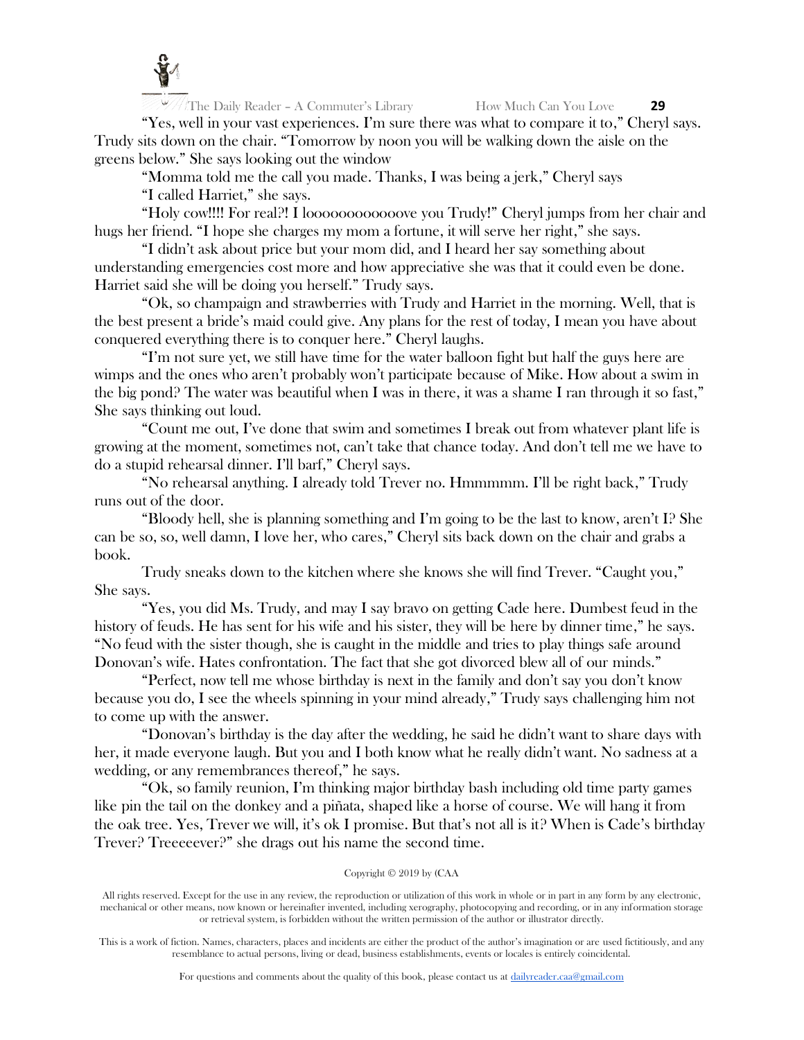

"Yes, well in your vast experiences. I'm sure there was what to compare it to," Cheryl says. Trudy sits down on the chair. "Tomorrow by noon you will be walking down the aisle on the greens below." She says looking out the window

"Momma told me the call you made. Thanks, I was being a jerk," Cheryl says

"I called Harriet," she says.

"Holy cow!!!! For real?! I loooooooooooove you Trudy!" Cheryl jumps from her chair and hugs her friend. "I hope she charges my mom a fortune, it will serve her right," she says.

"I didn't ask about price but your mom did, and I heard her say something about understanding emergencies cost more and how appreciative she was that it could even be done. Harriet said she will be doing you herself." Trudy says.

"Ok, so champaign and strawberries with Trudy and Harriet in the morning. Well, that is the best present a bride's maid could give. Any plans for the rest of today, I mean you have about conquered everything there is to conquer here." Cheryl laughs.

"I'm not sure yet, we still have time for the water balloon fight but half the guys here are wimps and the ones who aren't probably won't participate because of Mike. How about a swim in the big pond? The water was beautiful when I was in there, it was a shame I ran through it so fast," She says thinking out loud.

"Count me out, I've done that swim and sometimes I break out from whatever plant life is growing at the moment, sometimes not, can't take that chance today. And don't tell me we have to do a stupid rehearsal dinner. I'll barf," Cheryl says.

"No rehearsal anything. I already told Trever no. Hmmmmm. I'll be right back," Trudy runs out of the door.

"Bloody hell, she is planning something and I'm going to be the last to know, aren't I? She can be so, so, well damn, I love her, who cares," Cheryl sits back down on the chair and grabs a book.

Trudy sneaks down to the kitchen where she knows she will find Trever. "Caught you," She says.

"Yes, you did Ms. Trudy, and may I say bravo on getting Cade here. Dumbest feud in the history of feuds. He has sent for his wife and his sister, they will be here by dinner time," he says. "No feud with the sister though, she is caught in the middle and tries to play things safe around Donovan's wife. Hates confrontation. The fact that she got divorced blew all of our minds."

"Perfect, now tell me whose birthday is next in the family and don't say you don't know because you do, I see the wheels spinning in your mind already," Trudy says challenging him not to come up with the answer.

"Donovan's birthday is the day after the wedding, he said he didn't want to share days with her, it made everyone laugh. But you and I both know what he really didn't want. No sadness at a wedding, or any remembrances thereof," he says.

"Ok, so family reunion, I'm thinking major birthday bash including old time party games like pin the tail on the donkey and a piñata, shaped like a horse of course. We will hang it from the oak tree. Yes, Trever we will, it's ok I promise. But that's not all is it? When is Cade's birthday Trever? Treeeeever?" she drags out his name the second time.

# Copyright © 2019 by (CAA

All rights reserved. Except for the use in any review, the reproduction or utilization of this work in whole or in part in any form by any electronic, mechanical or other means, now known or hereinafter invented, including xerography, photocopying and recording, or in any information storage or retrieval system, is forbidden without the written permission of the author or illustrator directly.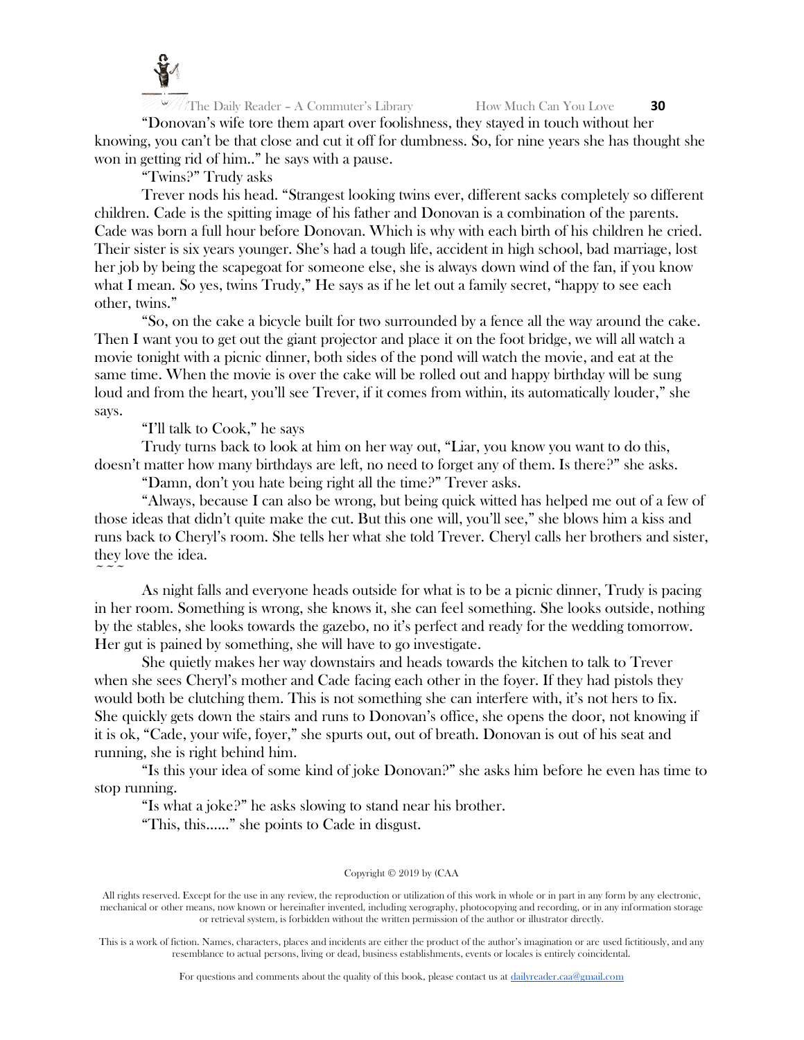

"Donovan's wife tore them apart over foolishness, they stayed in touch without her knowing, you can't be that close and cut it off for dumbness. So, for nine years she has thought she won in getting rid of him.." he says with a pause.

"Twins?" Trudy asks

Trever nods his head. "Strangest looking twins ever, different sacks completely so different children. Cade is the spitting image of his father and Donovan is a combination of the parents. Cade was born a full hour before Donovan. Which is why with each birth of his children he cried. Their sister is six years younger. She's had a tough life, accident in high school, bad marriage, lost her job by being the scapegoat for someone else, she is always down wind of the fan, if you know what I mean. So yes, twins Trudy," He says as if he let out a family secret, "happy to see each other, twins."

"So, on the cake a bicycle built for two surrounded by a fence all the way around the cake. Then I want you to get out the giant projector and place it on the foot bridge, we will all watch a movie tonight with a picnic dinner, both sides of the pond will watch the movie, and eat at the same time. When the movie is over the cake will be rolled out and happy birthday will be sung loud and from the heart, you'll see Trever, if it comes from within, its automatically louder," she says.

"I'll talk to Cook," he says

 $\sim$   $\sim$   $\sim$ 

Trudy turns back to look at him on her way out, "Liar, you know you want to do this, doesn't matter how many birthdays are left, no need to forget any of them. Is there?" she asks.

"Damn, don't you hate being right all the time?" Trever asks.

"Always, because I can also be wrong, but being quick witted has helped me out of a few of those ideas that didn't quite make the cut. But this one will, you'll see," she blows him a kiss and runs back to Cheryl's room. She tells her what she told Trever. Cheryl calls her brothers and sister, they love the idea.

As night falls and everyone heads outside for what is to be a picnic dinner, Trudy is pacing in her room. Something is wrong, she knows it, she can feel something. She looks outside, nothing by the stables, she looks towards the gazebo, no it's perfect and ready for the wedding tomorrow. Her gut is pained by something, she will have to go investigate.

She quietly makes her way downstairs and heads towards the kitchen to talk to Trever when she sees Cheryl's mother and Cade facing each other in the foyer. If they had pistols they would both be clutching them. This is not something she can interfere with, it's not hers to fix. She quickly gets down the stairs and runs to Donovan's office, she opens the door, not knowing if it is ok, "Cade, your wife, foyer," she spurts out, out of breath. Donovan is out of his seat and running, she is right behind him.

"Is this your idea of some kind of joke Donovan?" she asks him before he even has time to stop running.

"Is what a joke?" he asks slowing to stand near his brother.

"This, this…..." she points to Cade in disgust.

#### Copyright © 2019 by (CAA

All rights reserved. Except for the use in any review, the reproduction or utilization of this work in whole or in part in any form by any electronic, mechanical or other means, now known or hereinafter invented, including xerography, photocopying and recording, or in any information storage or retrieval system, is forbidden without the written permission of the author or illustrator directly.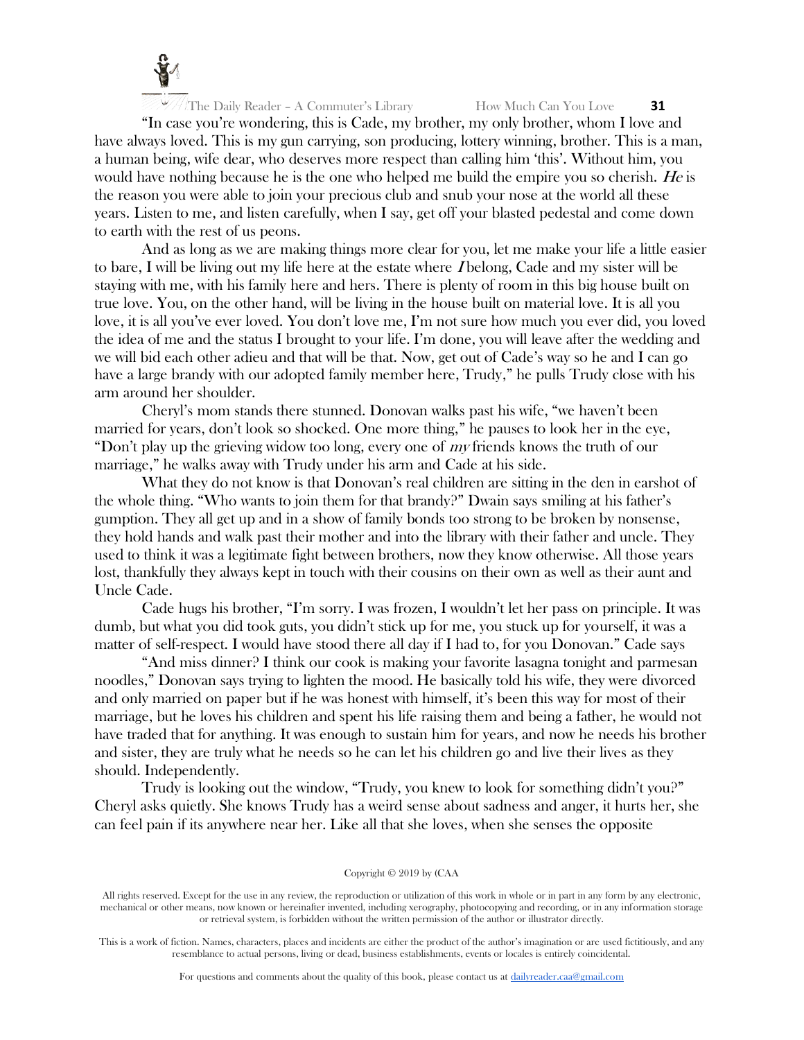

"In case you're wondering, this is Cade, my brother, my only brother, whom I love and have always loved. This is my gun carrying, son producing, lottery winning, brother. This is a man, a human being, wife dear, who deserves more respect than calling him 'this'. Without him, you would have nothing because he is the one who helped me build the empire you so cherish. He is the reason you were able to join your precious club and snub your nose at the world all these years. Listen to me, and listen carefully, when I say, get off your blasted pedestal and come down to earth with the rest of us peons.

And as long as we are making things more clear for you, let me make your life a little easier to bare, I will be living out my life here at the estate where I belong, Cade and my sister will be staying with me, with his family here and hers. There is plenty of room in this big house built on true love. You, on the other hand, will be living in the house built on material love. It is all you love, it is all you've ever loved. You don't love me, I'm not sure how much you ever did, you loved the idea of me and the status I brought to your life. I'm done, you will leave after the wedding and we will bid each other adieu and that will be that. Now, get out of Cade's way so he and I can go have a large brandy with our adopted family member here, Trudy," he pulls Trudy close with his arm around her shoulder.

Cheryl's mom stands there stunned. Donovan walks past his wife, "we haven't been married for years, don't look so shocked. One more thing," he pauses to look her in the eye, "Don't play up the grieving widow too long, every one of *my* friends knows the truth of our marriage," he walks away with Trudy under his arm and Cade at his side.

What they do not know is that Donovan's real children are sitting in the den in earshot of the whole thing. "Who wants to join them for that brandy?" Dwain says smiling at his father's gumption. They all get up and in a show of family bonds too strong to be broken by nonsense, they hold hands and walk past their mother and into the library with their father and uncle. They used to think it was a legitimate fight between brothers, now they know otherwise. All those years lost, thankfully they always kept in touch with their cousins on their own as well as their aunt and Uncle Cade.

Cade hugs his brother, "I'm sorry. I was frozen, I wouldn't let her pass on principle. It was dumb, but what you did took guts, you didn't stick up for me, you stuck up for yourself, it was a matter of self-respect. I would have stood there all day if I had to, for you Donovan." Cade says

"And miss dinner? I think our cook is making your favorite lasagna tonight and parmesan noodles," Donovan says trying to lighten the mood. He basically told his wife, they were divorced and only married on paper but if he was honest with himself, it's been this way for most of their marriage, but he loves his children and spent his life raising them and being a father, he would not have traded that for anything. It was enough to sustain him for years, and now he needs his brother and sister, they are truly what he needs so he can let his children go and live their lives as they should. Independently.

Trudy is looking out the window, "Trudy, you knew to look for something didn't you?" Cheryl asks quietly. She knows Trudy has a weird sense about sadness and anger, it hurts her, she can feel pain if its anywhere near her. Like all that she loves, when she senses the opposite

#### Copyright © 2019 by (CAA

All rights reserved. Except for the use in any review, the reproduction or utilization of this work in whole or in part in any form by any electronic, mechanical or other means, now known or hereinafter invented, including xerography, photocopying and recording, or in any information storage or retrieval system, is forbidden without the written permission of the author or illustrator directly.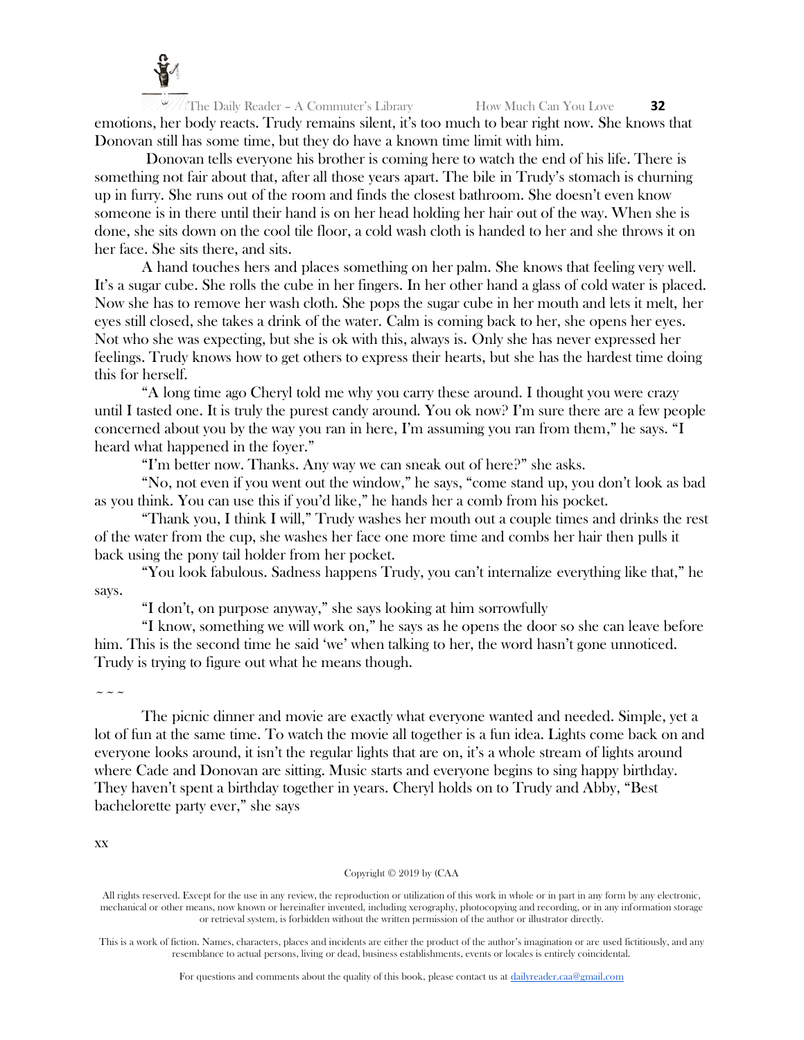

The Daily Reader – A Commuter's Library How Much Can You Love **32** emotions, her body reacts. Trudy remains silent, it's too much to bear right now. She knows that Donovan still has some time, but they do have a known time limit with him.

Donovan tells everyone his brother is coming here to watch the end of his life. There is something not fair about that, after all those years apart. The bile in Trudy's stomach is churning up in furry. She runs out of the room and finds the closest bathroom. She doesn't even know someone is in there until their hand is on her head holding her hair out of the way. When she is done, she sits down on the cool tile floor, a cold wash cloth is handed to her and she throws it on her face. She sits there, and sits.

A hand touches hers and places something on her palm. She knows that feeling very well. It's a sugar cube. She rolls the cube in her fingers. In her other hand a glass of cold water is placed. Now she has to remove her wash cloth. She pops the sugar cube in her mouth and lets it melt, her eyes still closed, she takes a drink of the water. Calm is coming back to her, she opens her eyes. Not who she was expecting, but she is ok with this, always is. Only she has never expressed her feelings. Trudy knows how to get others to express their hearts, but she has the hardest time doing this for herself.

"A long time ago Cheryl told me why you carry these around. I thought you were crazy until I tasted one. It is truly the purest candy around. You ok now? I'm sure there are a few people concerned about you by the way you ran in here, I'm assuming you ran from them," he says. "I heard what happened in the foyer."

"I'm better now. Thanks. Any way we can sneak out of here?" she asks.

"No, not even if you went out the window," he says, "come stand up, you don't look as bad as you think. You can use this if you'd like," he hands her a comb from his pocket.

"Thank you, I think I will," Trudy washes her mouth out a couple times and drinks the rest of the water from the cup, she washes her face one more time and combs her hair then pulls it back using the pony tail holder from her pocket.

"You look fabulous. Sadness happens Trudy, you can't internalize everything like that," he says.

"I don't, on purpose anyway," she says looking at him sorrowfully

"I know, something we will work on," he says as he opens the door so she can leave before him. This is the second time he said 'we' when talking to her, the word hasn't gone unnoticed. Trudy is trying to figure out what he means though.

 $\sim\sim\sim$ 

The picnic dinner and movie are exactly what everyone wanted and needed. Simple, yet a lot of fun at the same time. To watch the movie all together is a fun idea. Lights come back on and everyone looks around, it isn't the regular lights that are on, it's a whole stream of lights around where Cade and Donovan are sitting. Music starts and everyone begins to sing happy birthday. They haven't spent a birthday together in years. Cheryl holds on to Trudy and Abby, "Best bachelorette party ever," she says

xx

#### Copyright © 2019 by (CAA

All rights reserved. Except for the use in any review, the reproduction or utilization of this work in whole or in part in any form by any electronic, mechanical or other means, now known or hereinafter invented, including xerography, photocopying and recording, or in any information storage or retrieval system, is forbidden without the written permission of the author or illustrator directly.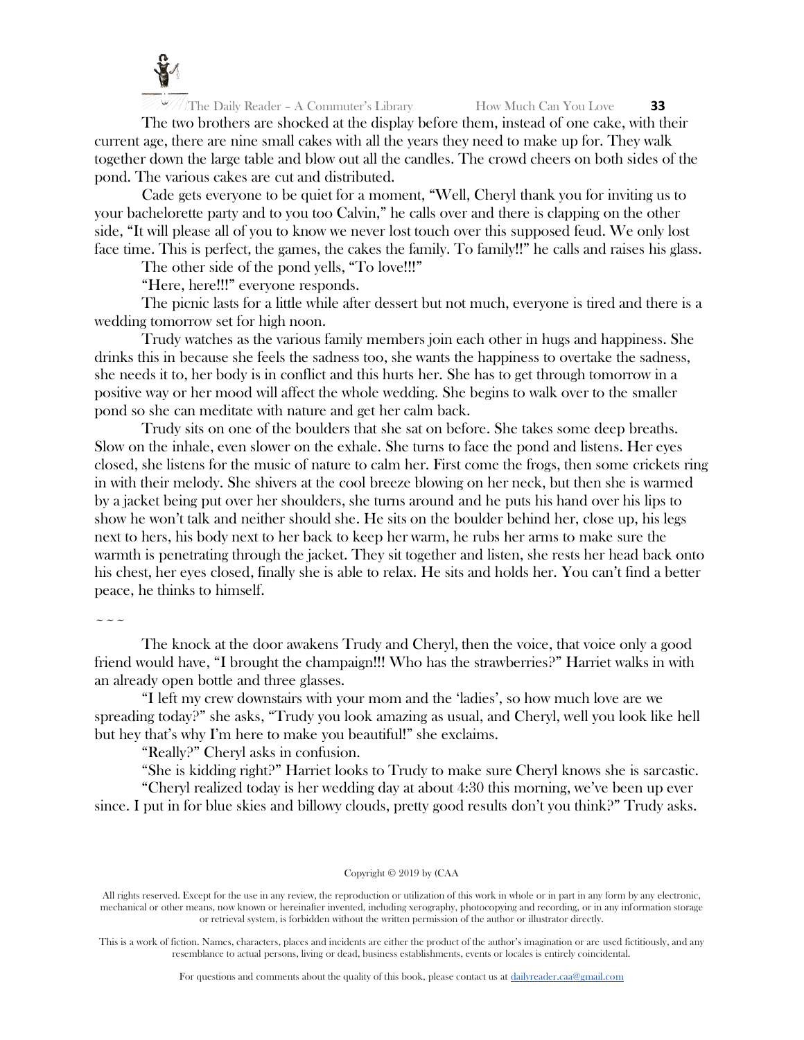

The two brothers are shocked at the display before them, instead of one cake, with their current age, there are nine small cakes with all the years they need to make up for. They walk together down the large table and blow out all the candles. The crowd cheers on both sides of the pond. The various cakes are cut and distributed.

Cade gets everyone to be quiet for a moment, "Well, Cheryl thank you for inviting us to your bachelorette party and to you too Calvin," he calls over and there is clapping on the other side, "It will please all of you to know we never lost touch over this supposed feud. We only lost face time. This is perfect, the games, the cakes the family. To family!!" he calls and raises his glass.

The other side of the pond yells, "To love!!!"

"Here, here!!!" everyone responds.

The picnic lasts for a little while after dessert but not much, everyone is tired and there is a wedding tomorrow set for high noon.

Trudy watches as the various family members join each other in hugs and happiness. She drinks this in because she feels the sadness too, she wants the happiness to overtake the sadness, she needs it to, her body is in conflict and this hurts her. She has to get through tomorrow in a positive way or her mood will affect the whole wedding. She begins to walk over to the smaller pond so she can meditate with nature and get her calm back.

Trudy sits on one of the boulders that she sat on before. She takes some deep breaths. Slow on the inhale, even slower on the exhale. She turns to face the pond and listens. Her eyes closed, she listens for the music of nature to calm her. First come the frogs, then some crickets ring in with their melody. She shivers at the cool breeze blowing on her neck, but then she is warmed by a jacket being put over her shoulders, she turns around and he puts his hand over his lips to show he won't talk and neither should she. He sits on the boulder behind her, close up, his legs next to hers, his body next to her back to keep her warm, he rubs her arms to make sure the warmth is penetrating through the jacket. They sit together and listen, she rests her head back onto his chest, her eyes closed, finally she is able to relax. He sits and holds her. You can't find a better peace, he thinks to himself.

 $\sim$   $\sim$   $\sim$ 

The knock at the door awakens Trudy and Cheryl, then the voice, that voice only a good friend would have, "I brought the champaign!!! Who has the strawberries?" Harriet walks in with an already open bottle and three glasses.

"I left my crew downstairs with your mom and the 'ladies', so how much love are we spreading today?" she asks, "Trudy you look amazing as usual, and Cheryl, well you look like hell but hey that's why I'm here to make you beautiful!" she exclaims.

"Really?" Cheryl asks in confusion.

"She is kidding right?" Harriet looks to Trudy to make sure Cheryl knows she is sarcastic.

"Cheryl realized today is her wedding day at about 4:30 this morning, we've been up ever since. I put in for blue skies and billowy clouds, pretty good results don't you think?" Trudy asks.

#### Copyright © 2019 by (CAA

All rights reserved. Except for the use in any review, the reproduction or utilization of this work in whole or in part in any form by any electronic, mechanical or other means, now known or hereinafter invented, including xerography, photocopying and recording, or in any information storage or retrieval system, is forbidden without the written permission of the author or illustrator directly.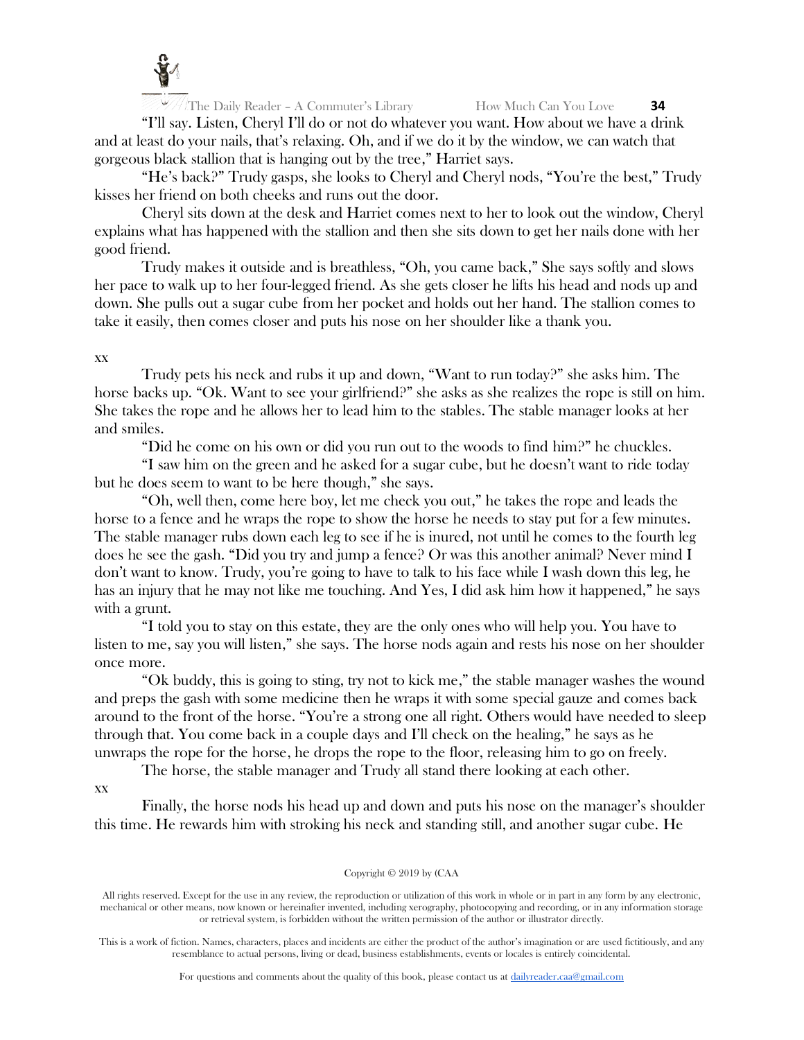

"I'll say. Listen, Cheryl I'll do or not do whatever you want. How about we have a drink and at least do your nails, that's relaxing. Oh, and if we do it by the window, we can watch that gorgeous black stallion that is hanging out by the tree," Harriet says.

"He's back?" Trudy gasps, she looks to Cheryl and Cheryl nods, "You're the best," Trudy kisses her friend on both cheeks and runs out the door.

Cheryl sits down at the desk and Harriet comes next to her to look out the window, Cheryl explains what has happened with the stallion and then she sits down to get her nails done with her good friend.

Trudy makes it outside and is breathless, "Oh, you came back," She says softly and slows her pace to walk up to her four-legged friend. As she gets closer he lifts his head and nods up and down. She pulls out a sugar cube from her pocket and holds out her hand. The stallion comes to take it easily, then comes closer and puts his nose on her shoulder like a thank you.

# xx

Trudy pets his neck and rubs it up and down, "Want to run today?" she asks him. The horse backs up. "Ok. Want to see your girlfriend?" she asks as she realizes the rope is still on him. She takes the rope and he allows her to lead him to the stables. The stable manager looks at her and smiles.

"Did he come on his own or did you run out to the woods to find him?" he chuckles.

"I saw him on the green and he asked for a sugar cube, but he doesn't want to ride today but he does seem to want to be here though," she says.

"Oh, well then, come here boy, let me check you out," he takes the rope and leads the horse to a fence and he wraps the rope to show the horse he needs to stay put for a few minutes. The stable manager rubs down each leg to see if he is inured, not until he comes to the fourth leg does he see the gash. "Did you try and jump a fence? Or was this another animal? Never mind I don't want to know. Trudy, you're going to have to talk to his face while I wash down this leg, he has an injury that he may not like me touching. And Yes, I did ask him how it happened," he says with a grunt.

"I told you to stay on this estate, they are the only ones who will help you. You have to listen to me, say you will listen," she says. The horse nods again and rests his nose on her shoulder once more.

"Ok buddy, this is going to sting, try not to kick me," the stable manager washes the wound and preps the gash with some medicine then he wraps it with some special gauze and comes back around to the front of the horse. "You're a strong one all right. Others would have needed to sleep through that. You come back in a couple days and I'll check on the healing," he says as he unwraps the rope for the horse, he drops the rope to the floor, releasing him to go on freely.

The horse, the stable manager and Trudy all stand there looking at each other.

# xx

Finally, the horse nods his head up and down and puts his nose on the manager's shoulder this time. He rewards him with stroking his neck and standing still, and another sugar cube. He

#### Copyright © 2019 by (CAA

All rights reserved. Except for the use in any review, the reproduction or utilization of this work in whole or in part in any form by any electronic, mechanical or other means, now known or hereinafter invented, including xerography, photocopying and recording, or in any information storage or retrieval system, is forbidden without the written permission of the author or illustrator directly.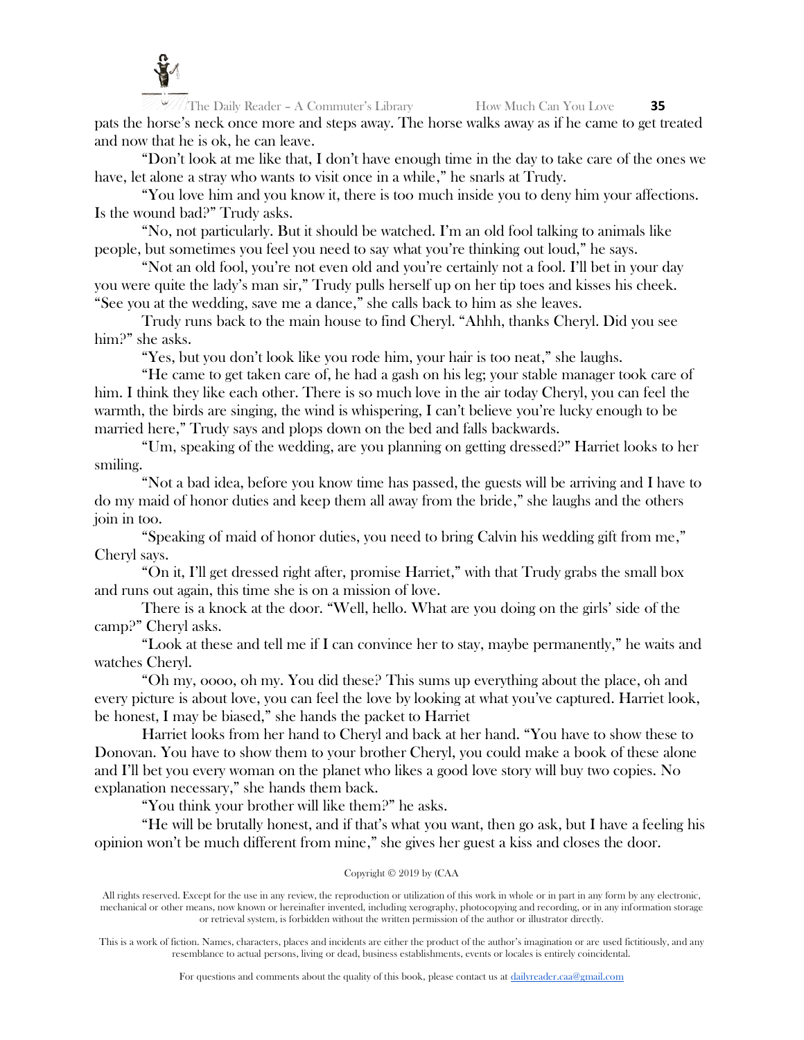

The Daily Reader – A Commuter's Library **How Much Can You Love 35** pats the horse's neck once more and steps away. The horse walks away as if he came to get treated and now that he is ok, he can leave.

"Don't look at me like that, I don't have enough time in the day to take care of the ones we have, let alone a stray who wants to visit once in a while," he snarls at Trudy.

"You love him and you know it, there is too much inside you to deny him your affections. Is the wound bad?" Trudy asks.

"No, not particularly. But it should be watched. I'm an old fool talking to animals like people, but sometimes you feel you need to say what you're thinking out loud," he says.

"Not an old fool, you're not even old and you're certainly not a fool. I'll bet in your day you were quite the lady's man sir," Trudy pulls herself up on her tip toes and kisses his cheek. "See you at the wedding, save me a dance," she calls back to him as she leaves.

Trudy runs back to the main house to find Cheryl. "Ahhh, thanks Cheryl. Did you see him?" she asks.

"Yes, but you don't look like you rode him, your hair is too neat," she laughs.

"He came to get taken care of, he had a gash on his leg; your stable manager took care of him. I think they like each other. There is so much love in the air today Cheryl, you can feel the warmth, the birds are singing, the wind is whispering, I can't believe you're lucky enough to be married here," Trudy says and plops down on the bed and falls backwards.

"Um, speaking of the wedding, are you planning on getting dressed?" Harriet looks to her smiling.

"Not a bad idea, before you know time has passed, the guests will be arriving and I have to do my maid of honor duties and keep them all away from the bride," she laughs and the others join in too.

"Speaking of maid of honor duties, you need to bring Calvin his wedding gift from me," Cheryl says.

"On it, I'll get dressed right after, promise Harriet," with that Trudy grabs the small box and runs out again, this time she is on a mission of love.

There is a knock at the door. "Well, hello. What are you doing on the girls' side of the camp?" Cheryl asks.

"Look at these and tell me if I can convince her to stay, maybe permanently," he waits and watches Cheryl.

"Oh my, oooo, oh my. You did these? This sums up everything about the place, oh and every picture is about love, you can feel the love by looking at what you've captured. Harriet look, be honest, I may be biased," she hands the packet to Harriet

Harriet looks from her hand to Cheryl and back at her hand. "You have to show these to Donovan. You have to show them to your brother Cheryl, you could make a book of these alone and I'll bet you every woman on the planet who likes a good love story will buy two copies. No explanation necessary," she hands them back.

"You think your brother will like them?" he asks.

"He will be brutally honest, and if that's what you want, then go ask, but I have a feeling his opinion won't be much different from mine," she gives her guest a kiss and closes the door.

## Copyright © 2019 by (CAA

All rights reserved. Except for the use in any review, the reproduction or utilization of this work in whole or in part in any form by any electronic, mechanical or other means, now known or hereinafter invented, including xerography, photocopying and recording, or in any information storage or retrieval system, is forbidden without the written permission of the author or illustrator directly.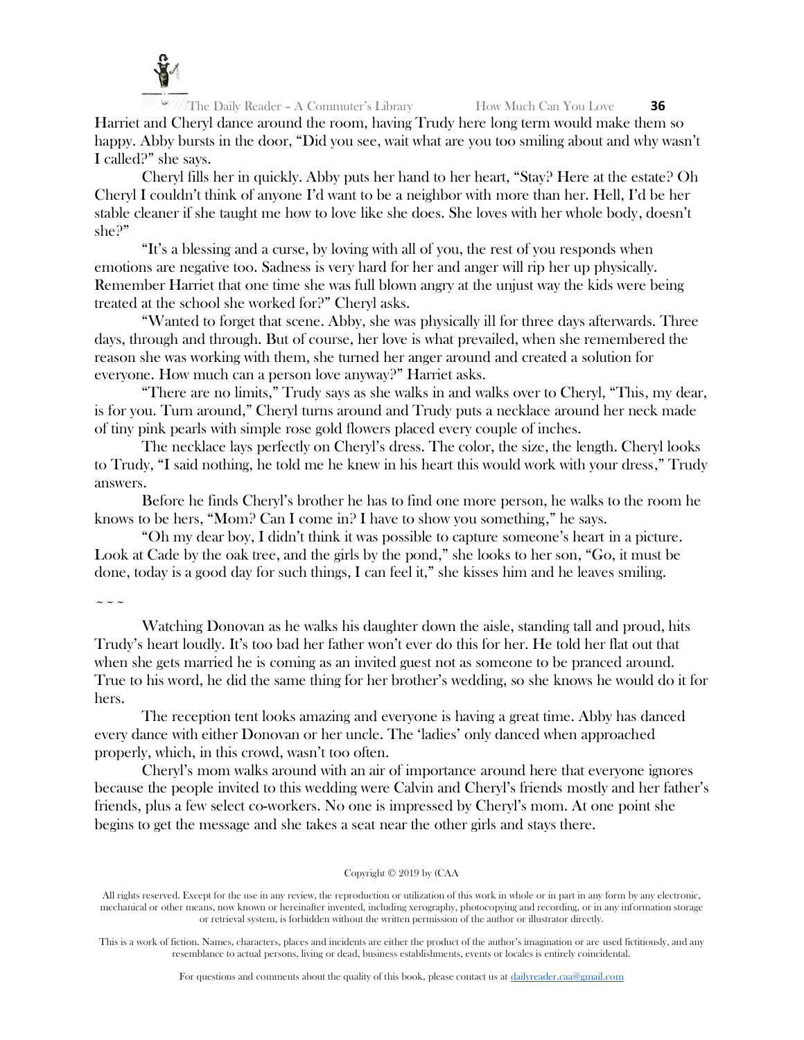

The Daily Reader – A Commuter's Library **How Much Can You Love 36** Harriet and Cheryl dance around the room, having Trudy here long term would make them so happy. Abby bursts in the door, "Did you see, wait what are you too smiling about and why wasn't I called?" she says.

Cheryl fills her in quickly. Abby puts her hand to her heart, "Stay? Here at the estate? Oh Cheryl I couldn't think of anyone I'd want to be a neighbor with more than her. Hell, I'd be her stable cleaner if she taught me how to love like she does. She loves with her whole body, doesn't she?"

"It's a blessing and a curse, by loving with all of you, the rest of you responds when emotions are negative too. Sadness is very hard for her and anger will rip her up physically. Remember Harriet that one time she was full blown angry at the unjust way the kids were being treated at the school she worked for?" Cheryl asks.

"Wanted to forget that scene. Abby, she was physically ill for three days afterwards. Three days, through and through. But of course, her love is what prevailed, when she remembered the reason she was working with them, she turned her anger around and created a solution for everyone. How much can a person love anyway?" Harriet asks.

"There are no limits," Trudy says as she walks in and walks over to Cheryl, "This, my dear, is for you. Turn around," Cheryl turns around and Trudy puts a necklace around her neck made of tiny pink pearls with simple rose gold flowers placed every couple of inches.

The necklace lays perfectly on Cheryl's dress. The color, the size, the length. Cheryl looks to Trudy, "I said nothing, he told me he knew in his heart this would work with your dress," Trudy answers.

Before he finds Cheryl's brother he has to find one more person, he walks to the room he knows to be hers, "Mom? Can I come in? I have to show you something," he says.

"Oh my dear boy, I didn't think it was possible to capture someone's heart in a picture. Look at Cade by the oak tree, and the girls by the pond," she looks to her son, "Go, it must be done, today is a good day for such things, I can feel it," she kisses him and he leaves smiling.

 $\sim$   $\sim$   $\sim$ 

Watching Donovan as he walks his daughter down the aisle, standing tall and proud, hits Trudy's heart loudly. It's too bad her father won't ever do this for her. He told her flat out that when she gets married he is coming as an invited guest not as someone to be pranced around. True to his word, he did the same thing for her brother's wedding, so she knows he would do it for hers.

The reception tent looks amazing and everyone is having a great time. Abby has danced every dance with either Donovan or her uncle. The 'ladies' only danced when approached properly, which, in this crowd, wasn't too often.

Cheryl's mom walks around with an air of importance around here that everyone ignores because the people invited to this wedding were Calvin and Cheryl's friends mostly and her father's friends, plus a few select co-workers. No one is impressed by Cheryl's mom. At one point she begins to get the message and she takes a seat near the other girls and stays there.

#### Copyright © 2019 by (CAA

All rights reserved. Except for the use in any review, the reproduction or utilization of this work in whole or in part in any form by any electronic, mechanical or other means, now known or hereinafter invented, including xerography, photocopying and recording, or in any information storage or retrieval system, is forbidden without the written permission of the author or illustrator directly.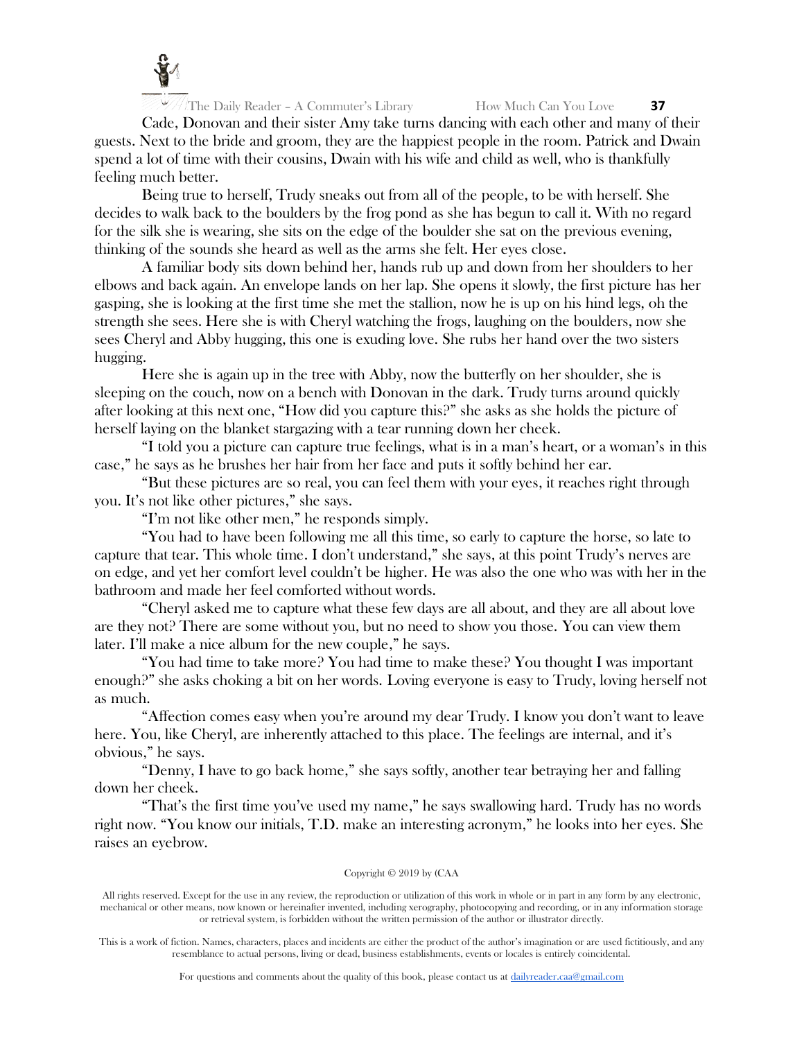

Cade, Donovan and their sister Amy take turns dancing with each other and many of their guests. Next to the bride and groom, they are the happiest people in the room. Patrick and Dwain spend a lot of time with their cousins, Dwain with his wife and child as well, who is thankfully feeling much better.

Being true to herself, Trudy sneaks out from all of the people, to be with herself. She decides to walk back to the boulders by the frog pond as she has begun to call it. With no regard for the silk she is wearing, she sits on the edge of the boulder she sat on the previous evening, thinking of the sounds she heard as well as the arms she felt. Her eyes close.

A familiar body sits down behind her, hands rub up and down from her shoulders to her elbows and back again. An envelope lands on her lap. She opens it slowly, the first picture has her gasping, she is looking at the first time she met the stallion, now he is up on his hind legs, oh the strength she sees. Here she is with Cheryl watching the frogs, laughing on the boulders, now she sees Cheryl and Abby hugging, this one is exuding love. She rubs her hand over the two sisters hugging.

Here she is again up in the tree with Abby, now the butterfly on her shoulder, she is sleeping on the couch, now on a bench with Donovan in the dark. Trudy turns around quickly after looking at this next one, "How did you capture this?" she asks as she holds the picture of herself laying on the blanket stargazing with a tear running down her cheek.

"I told you a picture can capture true feelings, what is in a man's heart, or a woman's in this case," he says as he brushes her hair from her face and puts it softly behind her ear.

"But these pictures are so real, you can feel them with your eyes, it reaches right through you. It's not like other pictures," she says.

"I'm not like other men," he responds simply.

"You had to have been following me all this time, so early to capture the horse, so late to capture that tear. This whole time. I don't understand," she says, at this point Trudy's nerves are on edge, and yet her comfort level couldn't be higher. He was also the one who was with her in the bathroom and made her feel comforted without words.

"Cheryl asked me to capture what these few days are all about, and they are all about love are they not? There are some without you, but no need to show you those. You can view them later. I'll make a nice album for the new couple," he says.

"You had time to take more? You had time to make these? You thought I was important enough?" she asks choking a bit on her words. Loving everyone is easy to Trudy, loving herself not as much.

"Affection comes easy when you're around my dear Trudy. I know you don't want to leave here. You, like Cheryl, are inherently attached to this place. The feelings are internal, and it's obvious," he says.

"Denny, I have to go back home," she says softly, another tear betraying her and falling down her cheek.

"That's the first time you've used my name," he says swallowing hard. Trudy has no words right now. "You know our initials, T.D. make an interesting acronym," he looks into her eyes. She raises an eyebrow.

## Copyright © 2019 by (CAA

All rights reserved. Except for the use in any review, the reproduction or utilization of this work in whole or in part in any form by any electronic, mechanical or other means, now known or hereinafter invented, including xerography, photocopying and recording, or in any information storage or retrieval system, is forbidden without the written permission of the author or illustrator directly.